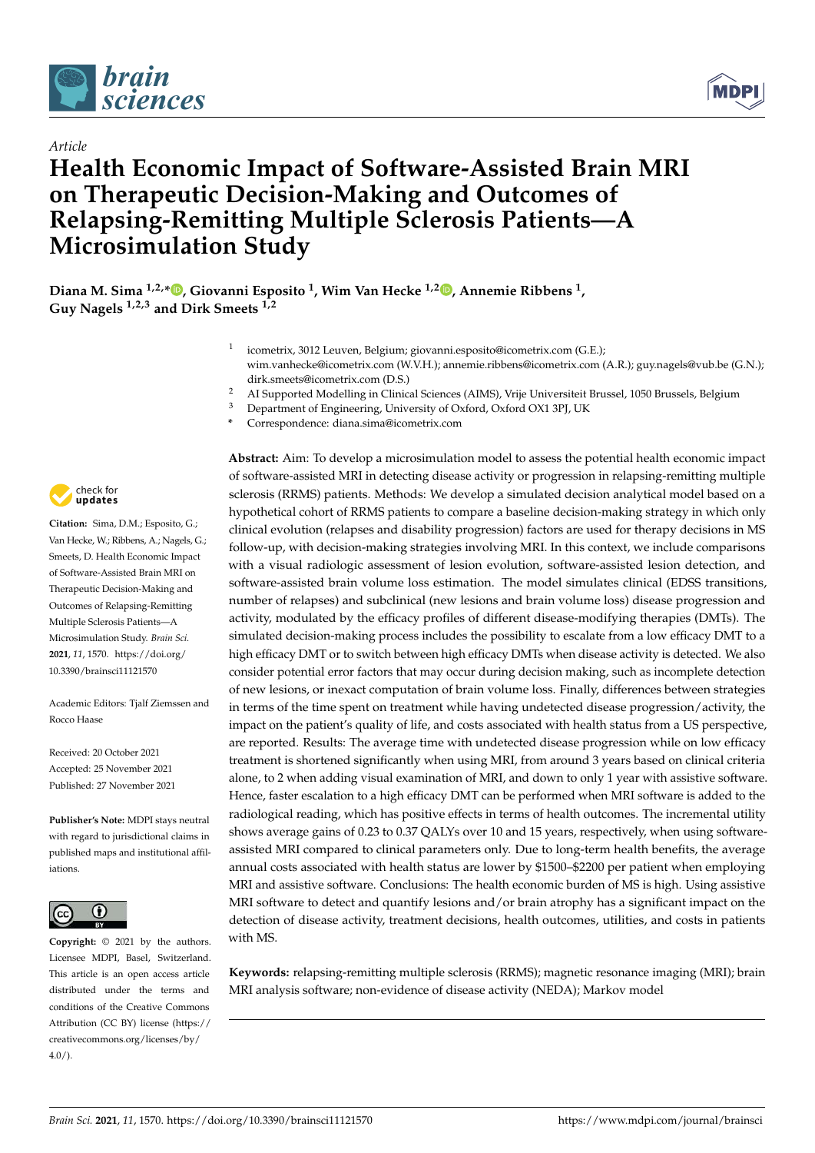

*Article*



# **Health Economic Impact of Software-Assisted Brain MRI on Therapeutic Decision-Making and Outcomes of Relapsing-Remitting Multiple Sclerosis Patients—A Microsimulation Study**

**Diana M. Sima 1,2,\* [,](https://orcid.org/0000-0002-0118-2905) Giovanni Esposito <sup>1</sup> , Wim Van Hecke 1,2 [,](https://orcid.org/0000-0002-3058-0937) Annemie Ribbens <sup>1</sup> , Guy Nagels 1,2,3 and Dirk Smeets 1,2**

- 1 icometrix, 3012 Leuven, Belgium; giovanni.esposito@icometrix.com (G.E.); wim.vanhecke@icometrix.com (W.V.H.); annemie.ribbens@icometrix.com (A.R.); guy.nagels@vub.be (G.N.); dirk.smeets@icometrix.com (D.S.)
- <sup>2</sup> AI Supported Modelling in Clinical Sciences (AIMS), Vrije Universiteit Brussel, 1050 Brussels, Belgium
- <sup>3</sup> Department of Engineering, University of Oxford, Oxford OX1 3PJ, UK
- **\*** Correspondence: diana.sima@icometrix.com



**Citation:** Sima, D.M.; Esposito, G.; Van Hecke, W.; Ribbens, A.; Nagels, G.; Smeets, D. Health Economic Impact of Software-Assisted Brain MRI on Therapeutic Decision-Making and Outcomes of Relapsing-Remitting Multiple Sclerosis Patients—A Microsimulation Study. *Brain Sci.* **2021**, *11*, 1570. [https://doi.org/](https://doi.org/10.3390/brainsci11121570) [10.3390/brainsci11121570](https://doi.org/10.3390/brainsci11121570)

Academic Editors: Tjalf Ziemssen and Rocco Haase

Received: 20 October 2021 Accepted: 25 November 2021 Published: 27 November 2021

**Publisher's Note:** MDPI stays neutral with regard to jurisdictional claims in published maps and institutional affiliations.



**Copyright:** © 2021 by the authors. Licensee MDPI, Basel, Switzerland. This article is an open access article distributed under the terms and conditions of the Creative Commons Attribution (CC BY) license (https:/[/](https://creativecommons.org/licenses/by/4.0/) [creativecommons.org/licenses/by/](https://creativecommons.org/licenses/by/4.0/)  $4.0/$ ).

**Abstract:** Aim: To develop a microsimulation model to assess the potential health economic impact of software-assisted MRI in detecting disease activity or progression in relapsing-remitting multiple sclerosis (RRMS) patients. Methods: We develop a simulated decision analytical model based on a hypothetical cohort of RRMS patients to compare a baseline decision-making strategy in which only clinical evolution (relapses and disability progression) factors are used for therapy decisions in MS follow-up, with decision-making strategies involving MRI. In this context, we include comparisons with a visual radiologic assessment of lesion evolution, software-assisted lesion detection, and software-assisted brain volume loss estimation. The model simulates clinical (EDSS transitions, number of relapses) and subclinical (new lesions and brain volume loss) disease progression and activity, modulated by the efficacy profiles of different disease-modifying therapies (DMTs). The simulated decision-making process includes the possibility to escalate from a low efficacy DMT to a high efficacy DMT or to switch between high efficacy DMTs when disease activity is detected. We also consider potential error factors that may occur during decision making, such as incomplete detection of new lesions, or inexact computation of brain volume loss. Finally, differences between strategies in terms of the time spent on treatment while having undetected disease progression/activity, the impact on the patient's quality of life, and costs associated with health status from a US perspective, are reported. Results: The average time with undetected disease progression while on low efficacy treatment is shortened significantly when using MRI, from around 3 years based on clinical criteria alone, to 2 when adding visual examination of MRI, and down to only 1 year with assistive software. Hence, faster escalation to a high efficacy DMT can be performed when MRI software is added to the radiological reading, which has positive effects in terms of health outcomes. The incremental utility shows average gains of 0.23 to 0.37 QALYs over 10 and 15 years, respectively, when using softwareassisted MRI compared to clinical parameters only. Due to long-term health benefits, the average annual costs associated with health status are lower by \$1500–\$2200 per patient when employing MRI and assistive software. Conclusions: The health economic burden of MS is high. Using assistive MRI software to detect and quantify lesions and/or brain atrophy has a significant impact on the detection of disease activity, treatment decisions, health outcomes, utilities, and costs in patients with MS.

**Keywords:** relapsing-remitting multiple sclerosis (RRMS); magnetic resonance imaging (MRI); brain MRI analysis software; non-evidence of disease activity (NEDA); Markov model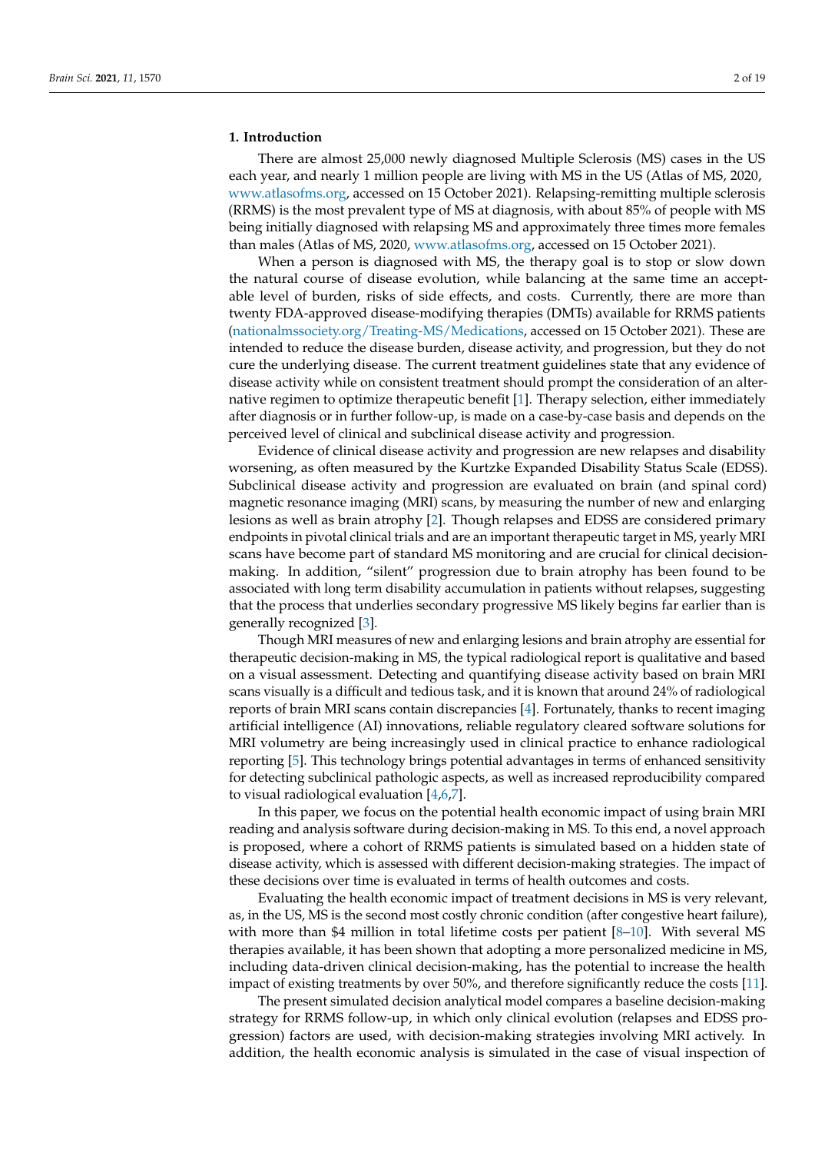#### **1. Introduction**

There are almost 25,000 newly diagnosed Multiple Sclerosis (MS) cases in the US each year, and nearly 1 million people are living with MS in the US (Atlas of MS, 2020, [www.atlasofms.org,](www.atlasofms.org) accessed on 15 October 2021). Relapsing-remitting multiple sclerosis (RRMS) is the most prevalent type of MS at diagnosis, with about 85% of people with MS being initially diagnosed with relapsing MS and approximately three times more females than males (Atlas of MS, 2020, [www.atlasofms.org,](www.atlasofms.org) accessed on 15 October 2021).

When a person is diagnosed with MS, the therapy goal is to stop or slow down the natural course of disease evolution, while balancing at the same time an acceptable level of burden, risks of side effects, and costs. Currently, there are more than twenty FDA-approved disease-modifying therapies (DMTs) available for RRMS patients [\(nationalmssociety.org/Treating-MS/Medications,](nationalmssociety.org/Treating-MS/Medications) accessed on 15 October 2021). These are intended to reduce the disease burden, disease activity, and progression, but they do not cure the underlying disease. The current treatment guidelines state that any evidence of disease activity while on consistent treatment should prompt the consideration of an alternative regimen to optimize therapeutic benefit [\[1\]](#page-17-0). Therapy selection, either immediately after diagnosis or in further follow-up, is made on a case-by-case basis and depends on the perceived level of clinical and subclinical disease activity and progression.

Evidence of clinical disease activity and progression are new relapses and disability worsening, as often measured by the Kurtzke Expanded Disability Status Scale (EDSS). Subclinical disease activity and progression are evaluated on brain (and spinal cord) magnetic resonance imaging (MRI) scans, by measuring the number of new and enlarging lesions as well as brain atrophy [\[2\]](#page-17-1). Though relapses and EDSS are considered primary endpoints in pivotal clinical trials and are an important therapeutic target in MS, yearly MRI scans have become part of standard MS monitoring and are crucial for clinical decisionmaking. In addition, "silent" progression due to brain atrophy has been found to be associated with long term disability accumulation in patients without relapses, suggesting that the process that underlies secondary progressive MS likely begins far earlier than is generally recognized [\[3\]](#page-17-2).

Though MRI measures of new and enlarging lesions and brain atrophy are essential for therapeutic decision-making in MS, the typical radiological report is qualitative and based on a visual assessment. Detecting and quantifying disease activity based on brain MRI scans visually is a difficult and tedious task, and it is known that around 24% of radiological reports of brain MRI scans contain discrepancies [\[4\]](#page-17-3). Fortunately, thanks to recent imaging artificial intelligence (AI) innovations, reliable regulatory cleared software solutions for MRI volumetry are being increasingly used in clinical practice to enhance radiological reporting [\[5\]](#page-17-4). This technology brings potential advantages in terms of enhanced sensitivity for detecting subclinical pathologic aspects, as well as increased reproducibility compared to visual radiological evaluation [\[4](#page-17-3)[,6](#page-17-5)[,7\]](#page-17-6).

In this paper, we focus on the potential health economic impact of using brain MRI reading and analysis software during decision-making in MS. To this end, a novel approach is proposed, where a cohort of RRMS patients is simulated based on a hidden state of disease activity, which is assessed with different decision-making strategies. The impact of these decisions over time is evaluated in terms of health outcomes and costs.

Evaluating the health economic impact of treatment decisions in MS is very relevant, as, in the US, MS is the second most costly chronic condition (after congestive heart failure), with more than \$4 million in total lifetime costs per patient [\[8](#page-17-7)[–10\]](#page-17-8). With several MS therapies available, it has been shown that adopting a more personalized medicine in MS, including data-driven clinical decision-making, has the potential to increase the health impact of existing treatments by over 50%, and therefore significantly reduce the costs [\[11\]](#page-17-9).

The present simulated decision analytical model compares a baseline decision-making strategy for RRMS follow-up, in which only clinical evolution (relapses and EDSS progression) factors are used, with decision-making strategies involving MRI actively. In addition, the health economic analysis is simulated in the case of visual inspection of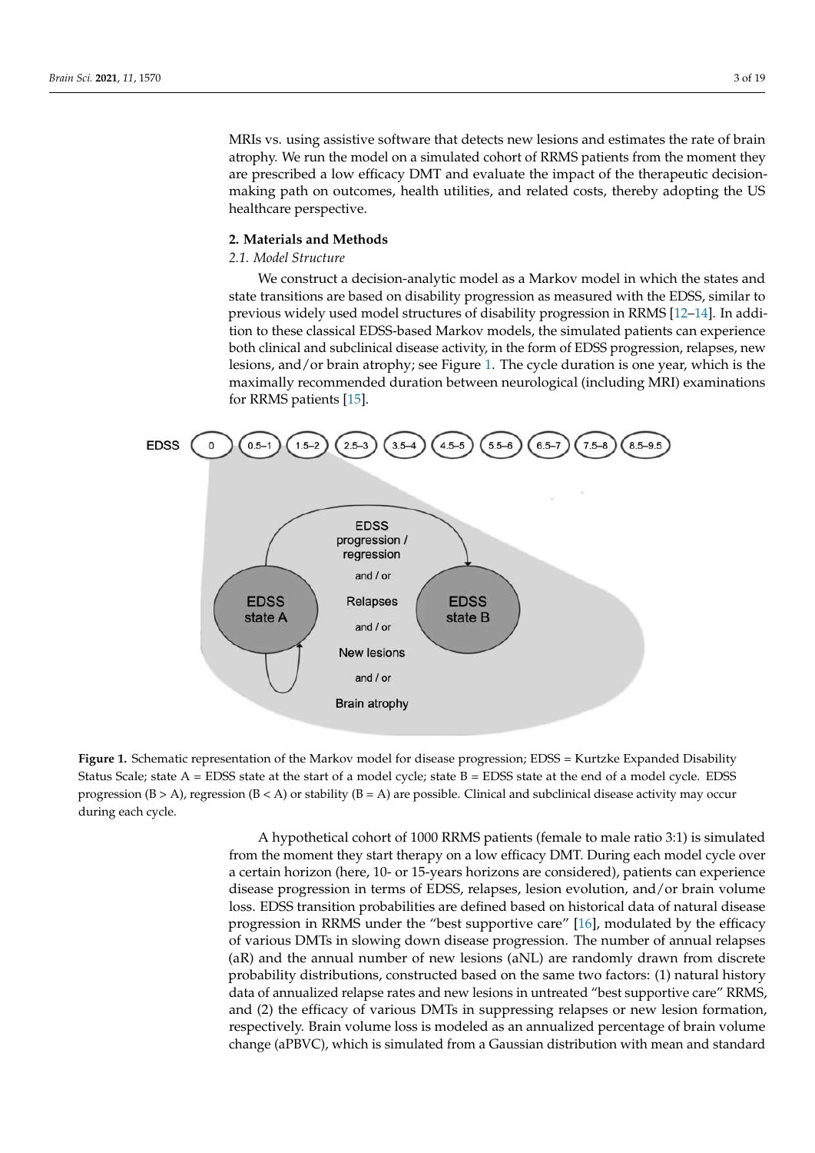MRIs vs. using assistive software that detects new lesions and estimates the rate of brain atrophy. We run the model on a simulated cohort of RRMS patients from the moment they are prescribed a low efficacy DMT and evaluate the impact of the therapeutic decisionmaking path on outcomes, health utilities, and related costs, thereby adopting the US healthcare perspective.

# **2. Materials and Methods**

# *2.1. Model Structure*

We construct a decision-analytic model as a Markov model in which the states and state transitions are based on disability progression as measured with the EDSS, similar to previous widely used model structures of disability progression in RRMS [\[12–](#page-17-10)[14\]](#page-17-11). In addition to these classical EDSS-based Markov models, the simulated patients can experience both clinical and subclinical disease activity, in the form of EDSS progression, relapses, new lesions, and/or brain atrophy; see Figure [1.](#page-2-0) The cycle duration is one year, which is the maximally recommended duration between neurological (including MRI) examinations for RRMS patients [\[15\]](#page-17-12).

<span id="page-2-0"></span>

**Figure 1.** Schematic representation of the Markov model for disease progression; EDSS = Kurtzke Expanded Disability Status Scale; state  $A = EDSS$  state at the start of a model cycle; state  $B = EDSS$  state at the end of a model cycle.  $EDSS$ progression  $(B > A)$ , regression  $(B < A)$  or stability  $(B = A)$  are possible. Clinical and subclinical disease activity may occur during each cycle. during each cycle.

A hypothetical cohort of 1000 RRMS patients (female to male ratio 3:1) is simulated from the moment they start therapy on a low efficacy DMT. During each model cycle over a certain horizon (here, 10- or 15-years horizons are considered), patients can experience disease progression in terms of EDSS, relapses, lesion evolution, and/or brain volume progression in RRMS under the "best supportive care" [\[16\]](#page-17-13), modulated by the efficacy of various DMTs in slowing down disease progression. The number of annual relapses of various DMTs in slowing down disease progression. The number of annual relapses (aR) and the annual number of new lesions (aNL) are randomly drawn from discrete probability distributions, constructed based on the same two factors: (1) natural history nedata of annualized relapse rates and new lesions in untreated "best supportive care" RRMS, and (2) the efficacy of various DMTs in suppressing relapses or new lesion formation, respectively. Brain volume loss is modeled as an annualized percentage of brain volume change (aPBVC), which is simulated from a Gaussian distribution with mean and standard loss. EDSS transition probabilities are defined based on historical data of natural disease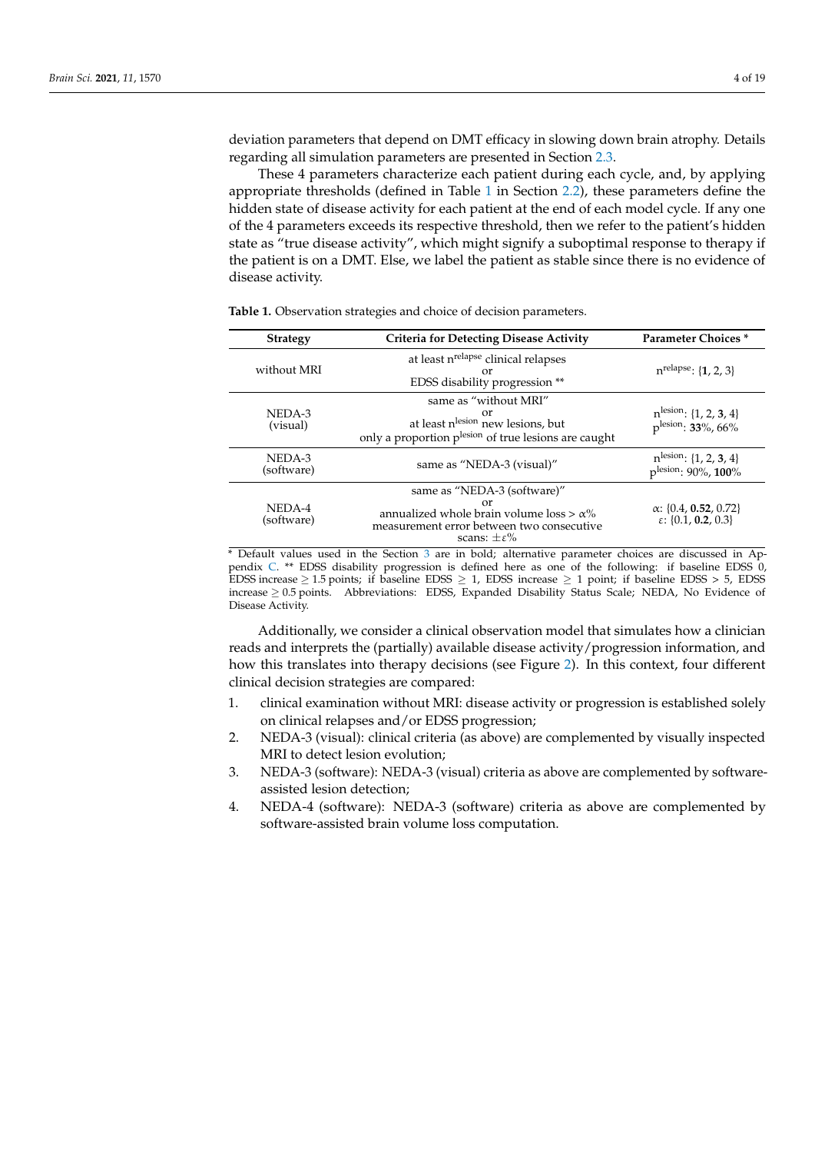deviation parameters that depend on DMT efficacy in slowing down brain atrophy. Details regarding all simulation parameters are presented in Section [2.3.](#page-5-0)

These 4 parameters characterize each patient during each cycle, and, by applying appropriate thresholds (defined in Table [1](#page-3-0) in Section [2.2\)](#page-4-0), these parameters define the hidden state of disease activity for each patient at the end of each model cycle. If any one of the 4 parameters exceeds its respective threshold, then we refer to the patient's hidden state as "true disease activity", which might signify a suboptimal response to therapy if the patient is on a DMT. Else, we label the patient as stable since there is no evidence of disease activity.

| <b>Strategy</b>      | <b>Criteria for Detecting Disease Activity</b>                                                                                                            | <b>Parameter Choices</b> *                                              |
|----------------------|-----------------------------------------------------------------------------------------------------------------------------------------------------------|-------------------------------------------------------------------------|
| without MRI          | at least n <sup>relapse</sup> clinical relapses<br>or<br>EDSS disability progression **                                                                   | $n^{relapse}$ : {1, 2, 3}                                               |
| NEDA-3<br>(visual)   | same as "without MRI"<br>or<br>at least n <sup>lesion</sup> new lesions, but<br>only a proportion plesion of true lesions are caught                      | $n^{\text{lesion}}$ : {1, 2, 3, 4}<br>plesion: 33%, 66%                 |
| NEDA-3<br>(software) | same as "NEDA-3 (visual)"                                                                                                                                 | $n^{\text{lesion}}$ : {1, 2, 3, 4}<br>plesion: 90%, 100%                |
| NEDA-4<br>(software) | same as "NEDA-3 (software)"<br>or<br>annualized whole brain volume loss $> \alpha$ %<br>measurement error between two consecutive<br>scans: $+\epsilon\%$ | $\alpha$ : {0.4, 0.52, 0.72}<br>$\varepsilon$ : {0.1, <b>0.2</b> , 0.3} |

<span id="page-3-0"></span>**Table 1.** Observation strategies and choice of decision parameters.

\* Default values used in the Section [3](#page-8-0) are in bold; alternative parameter choices are discussed in Appendix [C.](#page-15-0) \*\* EDSS disability progression is defined here as one of the following: if baseline EDSS 0, EDSS increase ≥ 1.5 points; if baseline EDSS ≥ 1, EDSS increase ≥ 1 point; if baseline EDSS > 5, EDSS increase ≥ 0.5 points. Abbreviations: EDSS, Expanded Disability Status Scale; NEDA, No Evidence of Disease Activity.

Additionally, we consider a clinical observation model that simulates how a clinician reads and interprets the (partially) available disease activity/progression information, and how this translates into therapy decisions (see Figure [2\)](#page-4-1). In this context, four different clinical decision strategies are compared:

- 1. clinical examination without MRI: disease activity or progression is established solely on clinical relapses and/or EDSS progression;
- 2. NEDA-3 (visual): clinical criteria (as above) are complemented by visually inspected MRI to detect lesion evolution;
- 3. NEDA-3 (software): NEDA-3 (visual) criteria as above are complemented by softwareassisted lesion detection;
- 4. NEDA-4 (software): NEDA-3 (software) criteria as above are complemented by software-assisted brain volume loss computation.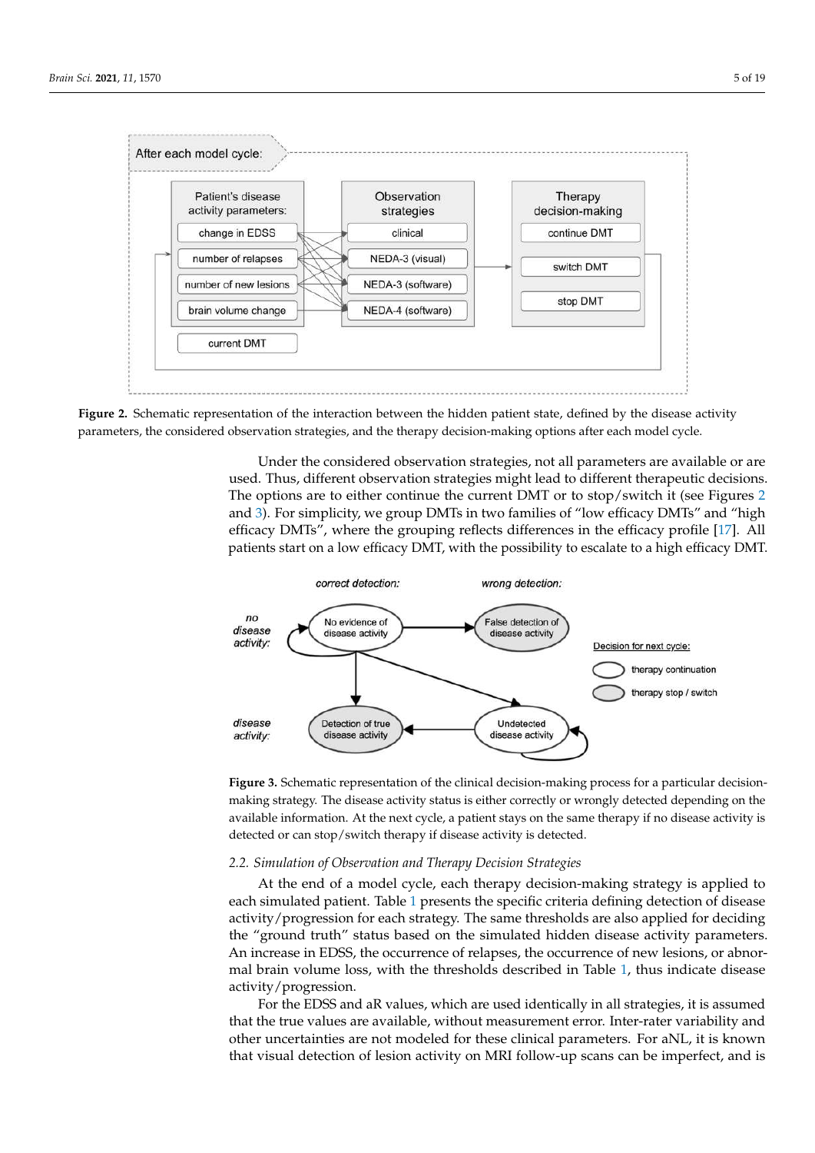<span id="page-4-1"></span>

Figure 2. Schematic representation of the interaction between the hidden patient state, defined by the disease activity parameters, the considered observation strategies, and the therapy decision-making options after each model cycle.

Under the considered observation strategies, not all parameters are available or are used. Thus, different observation strategies might lead to different therapeutic decisions. The options are to either continue the current DMT or to stop/switch it (see Figures [2](#page-4-1) and [3\)](#page-4-2). For simplicity, we group DMTs in two families of "low efficacy DMTs" and "high efficacy DMTs", where the grouping reflects differences in the efficacy profile [\[17\]](#page-17-14). All patients start on a low efficacy DMT, with the possibility to escalate to a high efficacy DMT.

<span id="page-4-2"></span>

Figure 3. Schematic representation of the clinical decision-making process for a particular decisionmaking strategy. The disease activity status is either correctly or wrongly detected depending on the available information. At the next cycle, a patient stays on the same therapy if no disease activity is detected or can stop/switch therapy if disease activity is detected.

# <span id="page-4-0"></span>2.2. Simulation of Observation and Therapy Decision Strategies

At the end of a model cycle, each therapy decision-making strategy is applied to each simulated pati[en](#page-3-0)t. Table 1 presents the specific criteria defining detection of disease activity/progression for each strategy. The same thresholds are also applied for deciding the "ground truth" status based on the simulated hidden disease activity parameters. An increase in EDSS, the occurrence of relapses, the occurrence of new lesions, or abnoralso highly dependent on  $\frac{1}{2}$  and  $\frac{1}{2}$  is the contract of  $\frac{1}{2}$ . Detection is the contract of  $\frac{1}{2}$  is the indicate discose. mal brain volume loss, with the thresholds described in Table  $1$ , thu[s i](#page-3-0)ndicate disease<br>activity/progression activity/progression.

For the EDSS and aR values, which are used identically in all strategies, it is assumed that the true values are available, without measurement error. Inter-rater variability and other uncertainties are not modeled for these clinical parameters. For aNL, it is known that visual detection of lesion activity on MRI follow-up scans can be imperfect, and is numerical threshold on the annualized brain volume loss, as this impossible to assess  $\frac{1}{2}$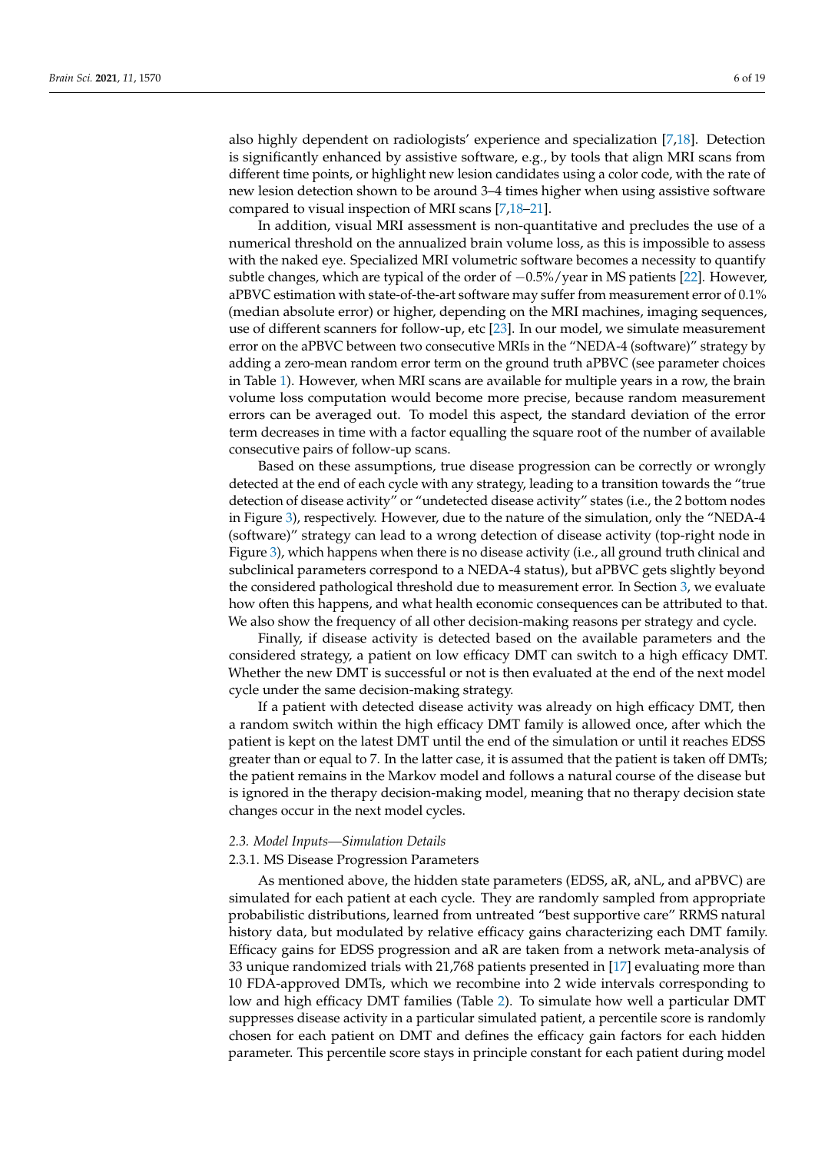also highly dependent on radiologists' experience and specialization [\[7,](#page-17-6)[18\]](#page-17-15). Detection is significantly enhanced by assistive software, e.g., by tools that align MRI scans from different time points, or highlight new lesion candidates using a color code, with the rate of new lesion detection shown to be around 3–4 times higher when using assistive software compared to visual inspection of MRI scans [\[7](#page-17-6)[,18](#page-17-15)[–21\]](#page-17-16).

In addition, visual MRI assessment is non-quantitative and precludes the use of a numerical threshold on the annualized brain volume loss, as this is impossible to assess with the naked eye. Specialized MRI volumetric software becomes a necessity to quantify subtle changes, which are typical of the order of  $-0.5\%$ /year in MS patients [\[22\]](#page-17-17). However, aPBVC estimation with state-of-the-art software may suffer from measurement error of 0.1% (median absolute error) or higher, depending on the MRI machines, imaging sequences, use of different scanners for follow-up, etc [\[23\]](#page-18-0). In our model, we simulate measurement error on the aPBVC between two consecutive MRIs in the "NEDA-4 (software)" strategy by adding a zero-mean random error term on the ground truth aPBVC (see parameter choices in Table [1\)](#page-3-0). However, when MRI scans are available for multiple years in a row, the brain volume loss computation would become more precise, because random measurement errors can be averaged out. To model this aspect, the standard deviation of the error term decreases in time with a factor equalling the square root of the number of available consecutive pairs of follow-up scans.

Based on these assumptions, true disease progression can be correctly or wrongly detected at the end of each cycle with any strategy, leading to a transition towards the "true detection of disease activity" or "undetected disease activity" states (i.e., the 2 bottom nodes in Figure [3\)](#page-4-2), respectively. However, due to the nature of the simulation, only the "NEDA-4 (software)" strategy can lead to a wrong detection of disease activity (top-right node in Figure [3\)](#page-4-2), which happens when there is no disease activity (i.e., all ground truth clinical and subclinical parameters correspond to a NEDA-4 status), but aPBVC gets slightly beyond the considered pathological threshold due to measurement error. In Section [3,](#page-8-0) we evaluate how often this happens, and what health economic consequences can be attributed to that. We also show the frequency of all other decision-making reasons per strategy and cycle.

Finally, if disease activity is detected based on the available parameters and the considered strategy, a patient on low efficacy DMT can switch to a high efficacy DMT. Whether the new DMT is successful or not is then evaluated at the end of the next model cycle under the same decision-making strategy.

If a patient with detected disease activity was already on high efficacy DMT, then a random switch within the high efficacy DMT family is allowed once, after which the patient is kept on the latest DMT until the end of the simulation or until it reaches EDSS greater than or equal to 7. In the latter case, it is assumed that the patient is taken off DMTs; the patient remains in the Markov model and follows a natural course of the disease but is ignored in the therapy decision-making model, meaning that no therapy decision state changes occur in the next model cycles.

#### <span id="page-5-0"></span>*2.3. Model Inputs—Simulation Details*

#### 2.3.1. MS Disease Progression Parameters

As mentioned above, the hidden state parameters (EDSS, aR, aNL, and aPBVC) are simulated for each patient at each cycle. They are randomly sampled from appropriate probabilistic distributions, learned from untreated "best supportive care" RRMS natural history data, but modulated by relative efficacy gains characterizing each DMT family. Efficacy gains for EDSS progression and aR are taken from a network meta-analysis of 33 unique randomized trials with 21,768 patients presented in [\[17\]](#page-17-14) evaluating more than 10 FDA-approved DMTs, which we recombine into 2 wide intervals corresponding to low and high efficacy DMT families (Table [2\)](#page-7-0). To simulate how well a particular DMT suppresses disease activity in a particular simulated patient, a percentile score is randomly chosen for each patient on DMT and defines the efficacy gain factors for each hidden parameter. This percentile score stays in principle constant for each patient during model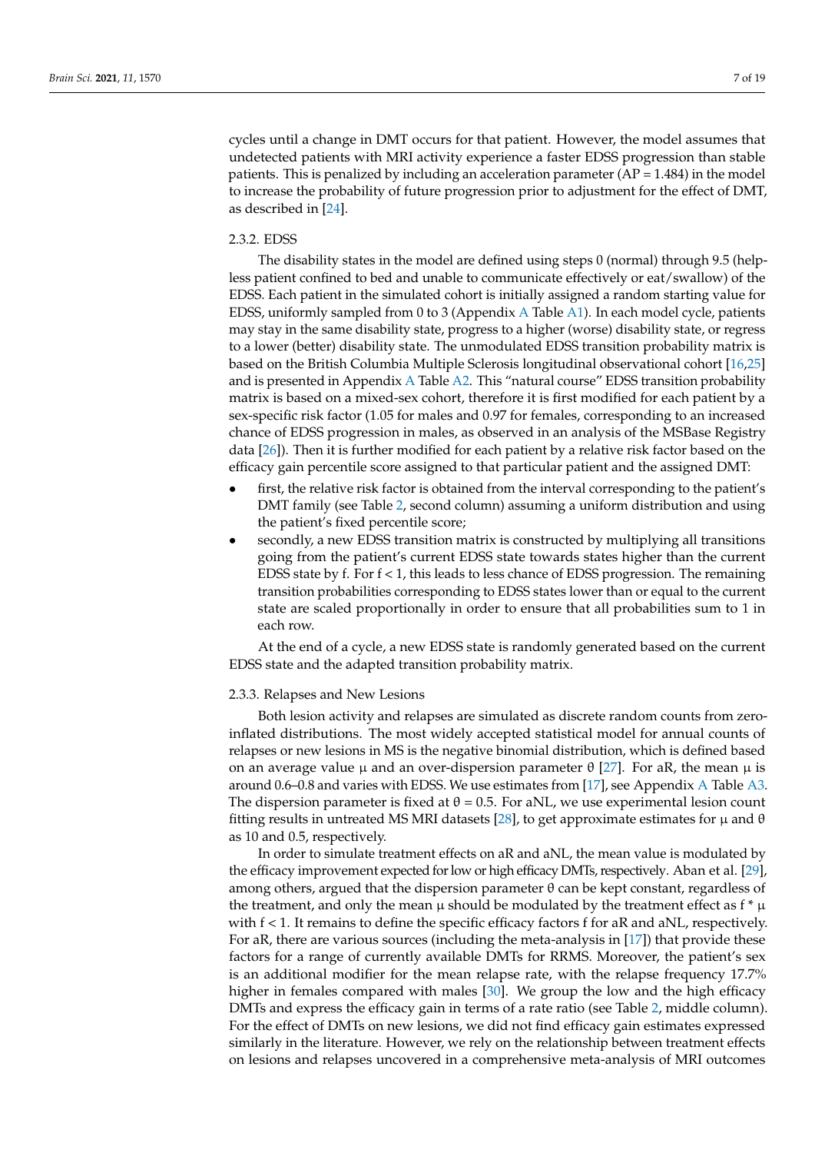cycles until a change in DMT occurs for that patient. However, the model assumes that undetected patients with MRI activity experience a faster EDSS progression than stable patients. This is penalized by including an acceleration parameter  $(AP = 1.484)$  in the model to increase the probability of future progression prior to adjustment for the effect of DMT, as described in [\[24\]](#page-18-1).

# 2.3.2. EDSS

The disability states in the model are defined using steps 0 (normal) through 9.5 (helpless patient confined to bed and unable to communicate effectively or eat/swallow) of the EDSS. Each patient in the simulated cohort is initially assigned a random starting value for EDSS, uniformly sampled from 0 to 3 (Appendix [A](#page-13-0) Table [A1\)](#page-13-1). In each model cycle, patients may stay in the same disability state, progress to a higher (worse) disability state, or regress to a lower (better) disability state. The unmodulated EDSS transition probability matrix is based on the British Columbia Multiple Sclerosis longitudinal observational cohort [\[16,](#page-17-13)[25\]](#page-18-2) and is presented in Appendix [A](#page-13-0) Table [A2.](#page-14-0) This "natural course" EDSS transition probability matrix is based on a mixed-sex cohort, therefore it is first modified for each patient by a sex-specific risk factor (1.05 for males and 0.97 for females, corresponding to an increased chance of EDSS progression in males, as observed in an analysis of the MSBase Registry data [\[26\]](#page-18-3)). Then it is further modified for each patient by a relative risk factor based on the efficacy gain percentile score assigned to that particular patient and the assigned DMT:

- first, the relative risk factor is obtained from the interval corresponding to the patient's DMT family (see Table [2,](#page-7-0) second column) assuming a uniform distribution and using the patient's fixed percentile score;
- secondly, a new EDSS transition matrix is constructed by multiplying all transitions going from the patient's current EDSS state towards states higher than the current EDSS state by f. For  $f < 1$ , this leads to less chance of EDSS progression. The remaining transition probabilities corresponding to EDSS states lower than or equal to the current state are scaled proportionally in order to ensure that all probabilities sum to 1 in each row.

At the end of a cycle, a new EDSS state is randomly generated based on the current EDSS state and the adapted transition probability matrix.

# 2.3.3. Relapses and New Lesions

Both lesion activity and relapses are simulated as discrete random counts from zeroinflated distributions. The most widely accepted statistical model for annual counts of relapses or new lesions in MS is the negative binomial distribution, which is defined based on an average value  $\mu$  and an over-dispersion parameter  $\theta$  [\[27\]](#page-18-4). For aR, the mean  $\mu$  is around 0.6–0.8 and varies with EDSS. We use estimates from [\[17\]](#page-17-14), see Appendix [A](#page-13-0) Table [A3.](#page-14-1) The dispersion parameter is fixed at  $\theta = 0.5$ . For aNL, we use experimental lesion count fitting results in untreated MS MRI datasets [\[28\]](#page-18-5), to get approximate estimates for  $\mu$  and  $\theta$ as 10 and 0.5, respectively.

In order to simulate treatment effects on aR and aNL, the mean value is modulated by the efficacy improvement expected for low or high efficacy DMTs, respectively. Aban et al. [\[29\]](#page-18-6), among others, argued that the dispersion parameter  $\theta$  can be kept constant, regardless of the treatment, and only the mean  $\mu$  should be modulated by the treatment effect as f  $* \mu$ with f < 1. It remains to define the specific efficacy factors f for aR and aNL, respectively. For aR, there are various sources (including the meta-analysis in [\[17\]](#page-17-14)) that provide these factors for a range of currently available DMTs for RRMS. Moreover, the patient's sex is an additional modifier for the mean relapse rate, with the relapse frequency 17.7% higher in females compared with males [\[30\]](#page-18-7). We group the low and the high efficacy DMTs and express the efficacy gain in terms of a rate ratio (see Table [2,](#page-7-0) middle column). For the effect of DMTs on new lesions, we did not find efficacy gain estimates expressed similarly in the literature. However, we rely on the relationship between treatment effects on lesions and relapses uncovered in a comprehensive meta-analysis of MRI outcomes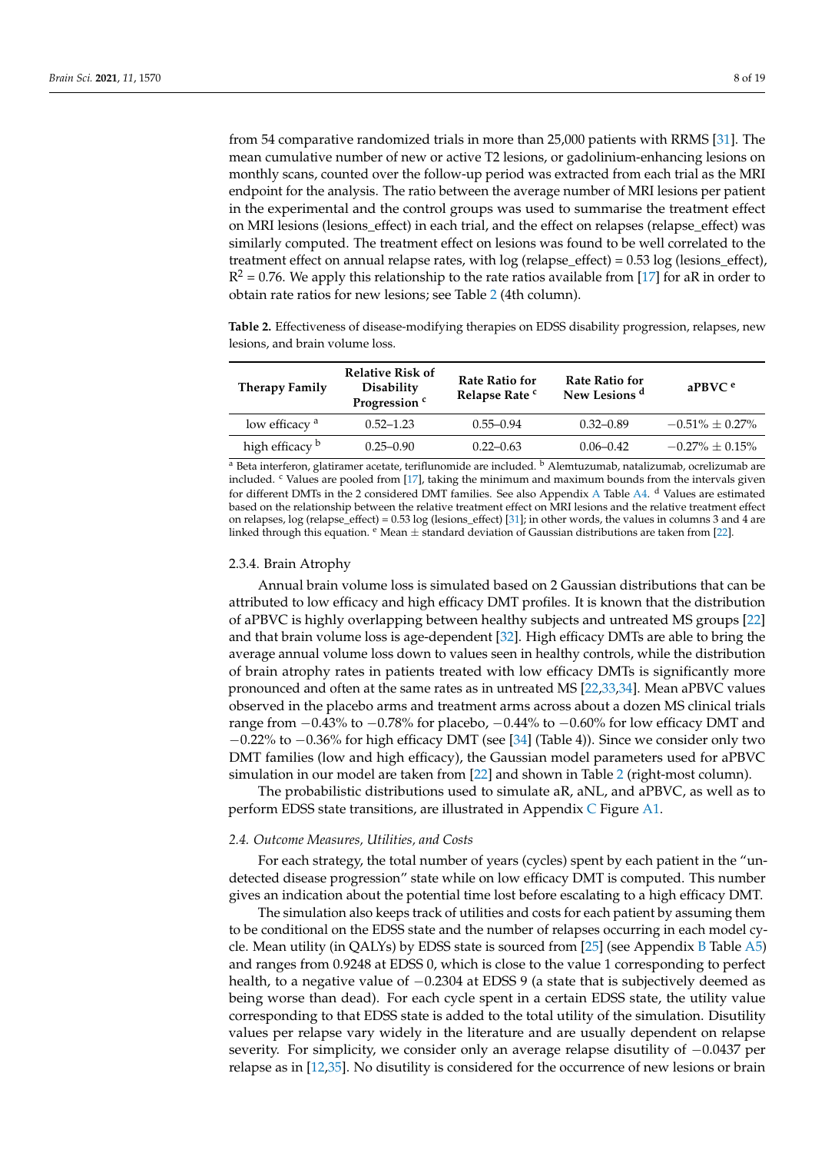from 54 comparative randomized trials in more than 25,000 patients with RRMS [\[31\]](#page-18-8). The mean cumulative number of new or active T2 lesions, or gadolinium-enhancing lesions on monthly scans, counted over the follow-up period was extracted from each trial as the MRI endpoint for the analysis. The ratio between the average number of MRI lesions per patient in the experimental and the control groups was used to summarise the treatment effect on MRI lesions (lesions\_effect) in each trial, and the effect on relapses (relapse\_effect) was similarly computed. The treatment effect on lesions was found to be well correlated to the treatment effect on annual relapse rates, with log (relapse\_effect) = 0.53 log (lesions\_effect),  $R^2$  = 0.76. We apply this relationship to the rate ratios available from [\[17\]](#page-17-14) for aR in order to obtain rate ratios for new lesions; see Table [2](#page-7-0) (4th column).

<span id="page-7-0"></span>**Table 2.** Effectiveness of disease-modifying therapies on EDSS disability progression, relapses, new lesions, and brain volume loss.

| <b>Therapy Family</b>     | <b>Relative Risk of</b><br><b>Disability</b><br>Progression <sup>c</sup> | <b>Rate Ratio for</b><br>Relapse Rate c | <b>Rate Ratio for</b><br>New Lesions <sup>d</sup> | $a$ PBVC $e$         |
|---------------------------|--------------------------------------------------------------------------|-----------------------------------------|---------------------------------------------------|----------------------|
| low efficacy <sup>a</sup> | $0.52 - 1.23$                                                            | $0.55 - 0.94$                           | $0.32 - 0.89$                                     | $-0.51\% \pm 0.27\%$ |
| high efficacy b           | $0.25 - 0.90$                                                            | $0.22 - 0.63$                           | $0.06 - 0.42$                                     | $-0.27\% + 0.15\%$   |

<sup>a</sup> Beta interferon, glatiramer acetate, teriflunomide are included. <sup>b</sup> Alemtuzumab, natalizumab, ocrelizumab are included.  $c$  Values are pooled from  $[17]$ , taking the minimum and maximum bounds from the intervals given for different DMTs in the 2 considered DMT families. See also [A](#page-13-0)ppendix A Table [A4.](#page-14-2) <sup>d</sup> Values are estimated based on the relationship between the relative treatment effect on MRI lesions and the relative treatment effect on relapses, log (relapse\_effect) = 0.53 log (lesions\_effect) [\[31\]](#page-18-8); in other words, the values in columns 3 and 4 are linked through this equation.  $e$  Mean  $\pm$  standard deviation of Gaussian distributions are taken from [\[22\]](#page-17-17).

#### 2.3.4. Brain Atrophy

Annual brain volume loss is simulated based on 2 Gaussian distributions that can be attributed to low efficacy and high efficacy DMT profiles. It is known that the distribution of aPBVC is highly overlapping between healthy subjects and untreated MS groups [\[22\]](#page-17-17) and that brain volume loss is age-dependent [\[32\]](#page-18-9). High efficacy DMTs are able to bring the average annual volume loss down to values seen in healthy controls, while the distribution of brain atrophy rates in patients treated with low efficacy DMTs is significantly more pronounced and often at the same rates as in untreated MS [\[22](#page-17-17)[,33](#page-18-10)[,34\]](#page-18-11). Mean aPBVC values observed in the placebo arms and treatment arms across about a dozen MS clinical trials range from −0.43% to −0.78% for placebo, −0.44% to −0.60% for low efficacy DMT and −0.22% to −0.36% for high efficacy DMT (see [\[34\]](#page-18-11) (Table 4)). Since we consider only two DMT families (low and high efficacy), the Gaussian model parameters used for aPBVC simulation in our model are taken from [\[22\]](#page-17-17) and shown in Table [2](#page-7-0) (right-most column).

The probabilistic distributions used to simulate aR, aNL, and aPBVC, as well as to perform EDSS state transitions, are illustrated in Appendix [C](#page-15-0) Figure [A1.](#page-16-0)

#### *2.4. Outcome Measures, Utilities, and Costs*

For each strategy, the total number of years (cycles) spent by each patient in the "undetected disease progression" state while on low efficacy DMT is computed. This number gives an indication about the potential time lost before escalating to a high efficacy DMT.

The simulation also keeps track of utilities and costs for each patient by assuming them to be conditional on the EDSS state and the number of relapses occurring in each model cycle. Mean utility (in QALYs) by EDSS state is sourced from [\[25\]](#page-18-2) (see Appendix [B](#page-15-1) Table [A5\)](#page-15-2) and ranges from 0.9248 at EDSS 0, which is close to the value 1 corresponding to perfect health, to a negative value of  $-0.2304$  at EDSS 9 (a state that is subjectively deemed as being worse than dead). For each cycle spent in a certain EDSS state, the utility value corresponding to that EDSS state is added to the total utility of the simulation. Disutility values per relapse vary widely in the literature and are usually dependent on relapse severity. For simplicity, we consider only an average relapse disutility of  $−0.0437$  per relapse as in [\[12,](#page-17-10)[35\]](#page-18-12). No disutility is considered for the occurrence of new lesions or brain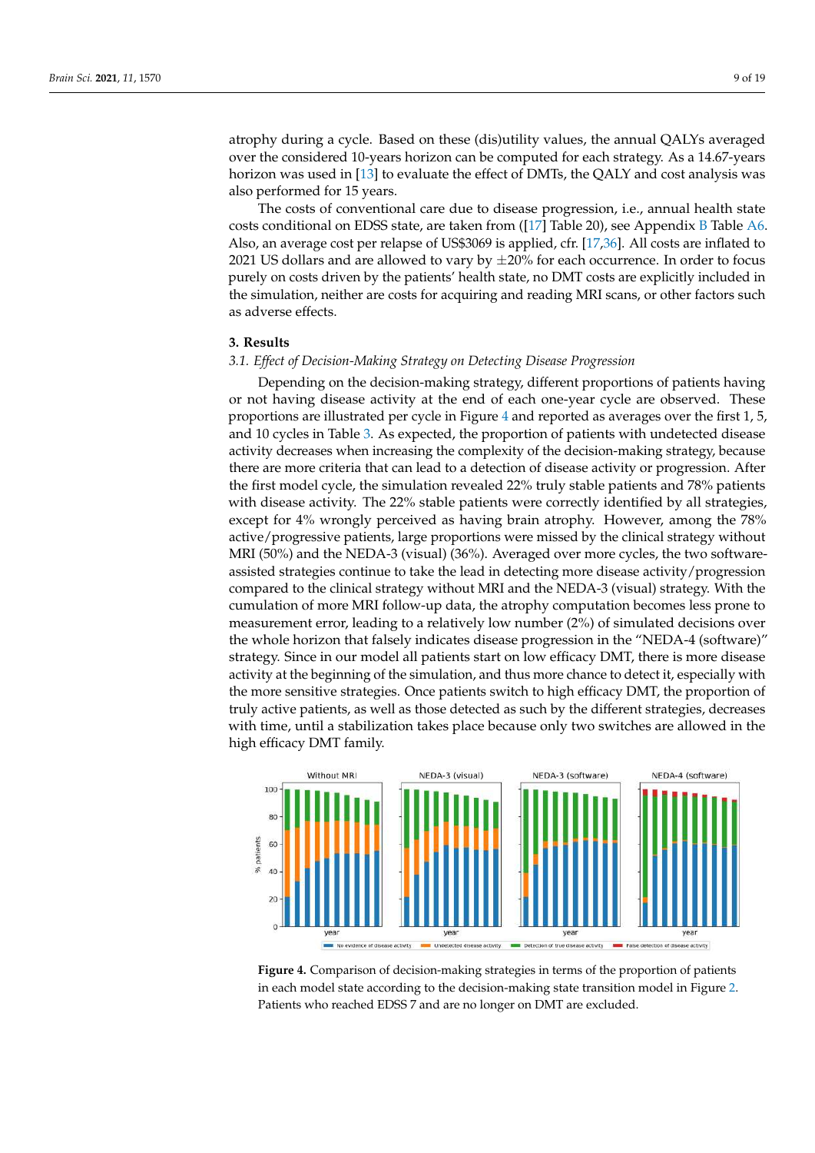atrophy during a cycle. Based on these (dis)utility values, the annual QALYs averaged over the considered 10-years horizon can be computed for each strategy. As a 14.67-years horizon was used in [\[13\]](#page-17-18) to evaluate the effect of DMTs, the QALY and cost analysis was also performed for 15 years.

The costs of conventional care due to disease progression, i.e., annual health state costs conditional on EDSS state, are taken from ([\[17\]](#page-17-14) Table 20), see Appendix [B](#page-15-1) Table [A6.](#page-15-3) Also, an average cost per relapse of US\$3069 is applied, cfr. [\[17](#page-17-14)[,36\]](#page-18-13). All costs are inflated to 2021 US dollars and are allowed to vary by  $\pm 20\%$  for each occurrence. In order to focus purely on costs driven by the patients' health state, no DMT costs are explicitly included in the simulation, neither are costs for acquiring and reading MRI scans, or other factors such as adverse effects.

## <span id="page-8-0"></span>**3. Results**

# 3.1. Effect of Decision-Making Strategy on Detecting Disease Progression

 $\overline{\text{S}}$  Depending on the decision-making strategy, different proportions of patients having or not having disease activity at the end of each one-year cycle are observed. These proportions are illustrated per cycle in Figure [4](#page-8-1) and reported as averages over the first 1, 5, and 10 cycles in Table [3.](#page-9-0) As expected, the proportion of patients with undetected disease activity decreases when increasing the complexity of the decision-making strategy, because there are more criteria that can lead to a detection of disease activity or progression. After the first model cycle, the simulation revealed 22% truly stable patients and 78% patients with disease activity. The 22% stable patients were correctly identified by all strategies, except for 4% wrongly perceived as having brain atrophy. However, among the 78% active/progressive patients, large proportions were missed by the clinical strategy without MRI  $(50%)$  and the NEDA-3 (visual) (36%). Averaged over more cycles, the two softwareassisted strategies continue to take the lead in detecting more disease activity/progression compared to the clinical strategy without MRI and the NEDA-3 (visual) strategy. With the cumulation of more MRI follow-up data, the atrophy computation becomes less prone to measurement error, leading to a relatively low number  $(2\%)$  of simulated decisions over the whole horizon that falsely indicates disease progression in the "NEDA-4 (software)" strategy. Since in our model all patients start on low efficacy DMT, there is more disease activity at the beginning of the simulation, and thus more chance to detect it, especially with the more sensitive strategies. Once patients switch to high efficacy DMT, the proportion of truly active patients, as well as those detected as such by the different strategies, decreases with time, until a stabilization takes place because only two switches are allowed in the high efficacy DMT family. ne decision-making strategy, different proportions or patients naving  $\mathfrak m$  is cycles in Table 5. As expected, the proportion or patients with undetected disease ase activity. The 22% stable patients were correctly facturitied by all strategiven  $\sigma$  and the NEDA-9 (Visual) (90%). Averaged over more cycles, the two sortwa  $\ldots$  truly stable  $\ldots$   $\ldots$   $\ldots$   $\ldots$   $\ldots$   $\ldots$   $\ldots$   $\ldots$   $\ldots$   $\ldots$   $\ldots$   $\ldots$  $\epsilon$  falser that havery materies alsease progression in the  $\epsilon$  (ELETT T (SOFTMAR sensitive strategies. Once patients switch to high emeally DMT, the proportion  $\frac{1}{\sqrt{2}}$  for disease activity of disease activity -  $\frac{1}{\sqrt{2}}$ 

<span id="page-8-1"></span>

**Figure 4.** Comparison of decision-making strategies in terms of the proportion of patients  $t_{\rm eff}$  state transition-making state transition model in Figure 2. Patients who reached  $\tilde{R}_{\rm eff}$  are no  $\tilde{R}_{\rm eff}$ in each model state according to the decision-making state transition model in Figure [2.](#page-4-1) Patients who reached EDSS 7 and are no longer on DMT are excluded.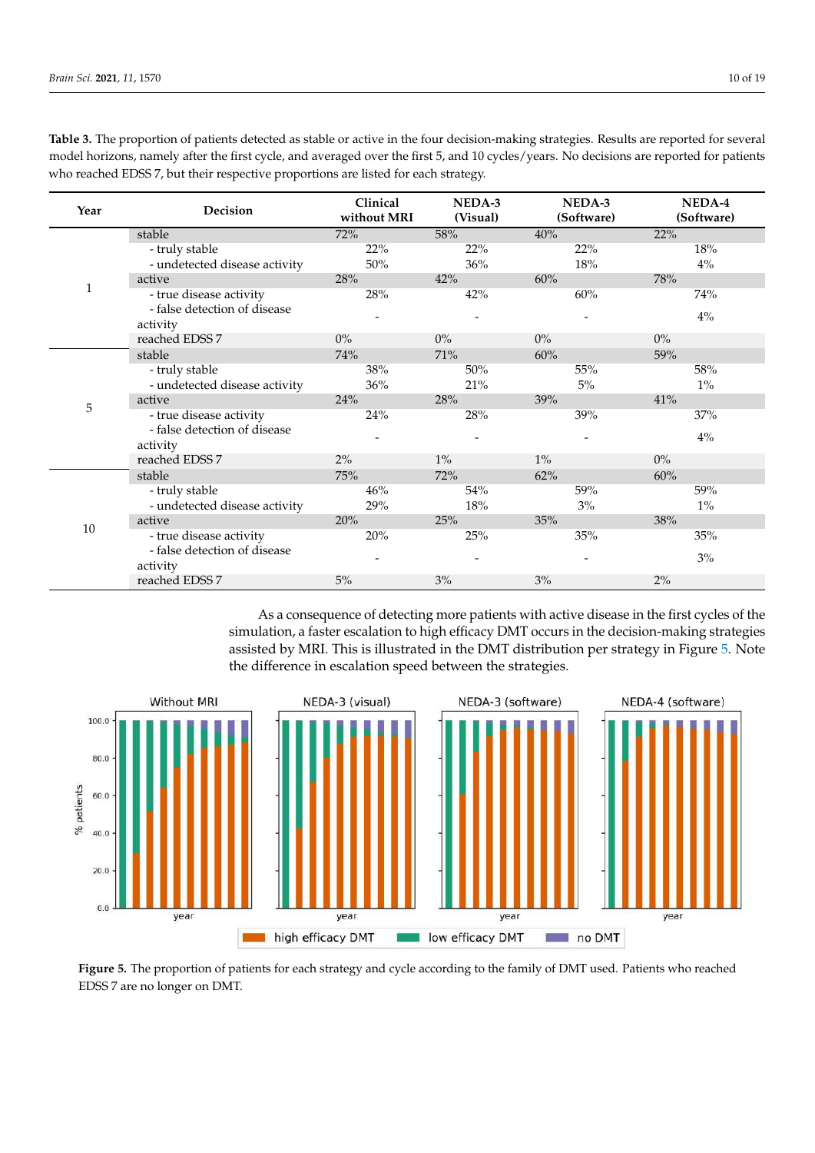| Year | Decision                      | Clinical<br>without MRI | NEDA-3<br>(Visual) | NEDA-3<br>(Software) | NEDA-4<br>(Software) |
|------|-------------------------------|-------------------------|--------------------|----------------------|----------------------|
|      | stable                        | 72%                     | 58%                | 40%                  | 22%                  |
|      | - truly stable                | 22%                     | 22%                | 22%                  | 18%                  |
|      | - undetected disease activity | 50%                     | 36%                | 18%                  | $4\%$                |
|      | active                        | 28%                     | 42%                | 60%                  | 78%                  |
| 1    | - true disease activity       | 28%                     | 42%                | 60%                  | 74%                  |
|      | - false detection of disease  |                         |                    |                      | $4\%$                |
|      | activity                      |                         |                    |                      |                      |
|      | reached EDSS 7                | $0\%$                   | $0\%$              | $0\%$                | $0\%$                |
|      | stable                        | 74%                     | 71%                | 60%                  | 59%                  |
|      | - truly stable                | 38%                     | 50%                | 55%                  | 58%                  |
|      | - undetected disease activity | 36%                     | 21%                | 5%                   | $1\%$                |
| 5    | active                        | 24%                     | 28%                | 39%                  | $41\%$               |
|      | - true disease activity       | 24%                     | 28%                | 39%                  | 37%                  |
|      | - false detection of disease  |                         |                    |                      | $4\%$                |
|      | activity                      |                         |                    |                      |                      |
|      | reached EDSS 7                | $2\%$                   | $1\%$              | $1\%$                | $0\%$                |
|      | stable                        | 75%                     | 72%                | 62%                  | 60%                  |
|      | - truly stable                | 46%                     | 54%                | 59%                  | 59%                  |
|      | - undetected disease activity | 29%                     | $18\%$             | 3%                   | $1\%$                |
| 10   | active                        | 20%                     | 25%                | 35%                  | 38%                  |
|      | - true disease activity       | 20%                     | 25%                | 35%                  | 35%                  |
|      | - false detection of disease  |                         |                    |                      | 3%                   |
|      | activity                      |                         |                    |                      |                      |
|      | reached EDSS 7                | 5%                      | 3%                 | 3%                   | $2\%$                |

<span id="page-9-0"></span>**Table 3.** The proportion of patients detected as stable or active in the four decision-making strategies. Results are reported for several model horizons, namely after the first cycle, and averaged over the first 5, and 10 cycles/years. No decisions are reported for patients who reached EDSS 7, but their respective proportions are listed for each strategy.

As a consequence of detecting more patients with active disease in the first cycles of the simulation, a faster escalation to high efficacy DMT occurs in the decision-making strategies assisted by MRI. This is illustrated in the DMT distribution per strategy in Figure [5.](#page-9-1) Note the difference in escalation speed between the strategies.

<span id="page-9-1"></span>

Figure 5. The proportion of patients for each strategy and cycle according to the family of DMT used. Patients who reached EDSS 7 are no longer on DMT. EDSS 7 are no longer on DMT.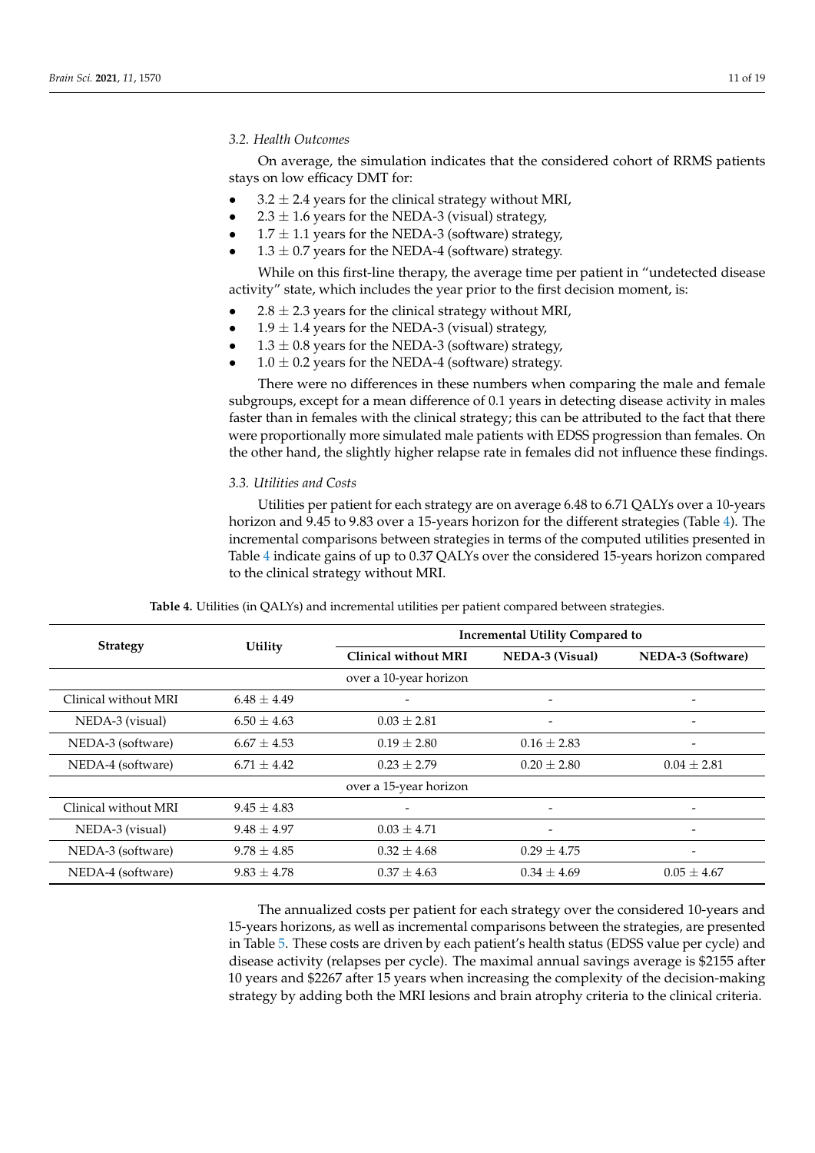## *3.2. Health Outcomes*

On average, the simulation indicates that the considered cohort of RRMS patients stays on low efficacy DMT for:

- $3.2 \pm 2.4$  years for the clinical strategy without MRI,
- 2.3  $\pm$  1.6 years for the NEDA-3 (visual) strategy,
- $1.7 \pm 1.1$  years for the NEDA-3 (software) strategy,
- $1.3 \pm 0.7$  years for the NEDA-4 (software) strategy.

While on this first-line therapy, the average time per patient in "undetected disease activity" state, which includes the year prior to the first decision moment, is:

- $2.8 \pm 2.3$  years for the clinical strategy without MRI,
- $1.9 \pm 1.4$  years for the NEDA-3 (visual) strategy,
- $1.3 \pm 0.8$  years for the NEDA-3 (software) strategy,
- $1.0 \pm 0.2$  years for the NEDA-4 (software) strategy.

There were no differences in these numbers when comparing the male and female subgroups, except for a mean difference of 0.1 years in detecting disease activity in males faster than in females with the clinical strategy; this can be attributed to the fact that there were proportionally more simulated male patients with EDSS progression than females. On the other hand, the slightly higher relapse rate in females did not influence these findings.

#### *3.3. Utilities and Costs*

Utilities per patient for each strategy are on average 6.48 to 6.71 QALYs over a 10-years horizon and 9.45 to 9.83 over a 15-years horizon for the different strategies (Table [4\)](#page-10-0). The incremental comparisons between strategies in terms of the computed utilities presented in Table [4](#page-10-0) indicate gains of up to 0.37 QALYs over the considered 15-years horizon compared to the clinical strategy without MRI.

<span id="page-10-0"></span>

|                      | Utility         |                             | <b>Incremental Utility Compared to</b> |                          |  |  |  |  |  |
|----------------------|-----------------|-----------------------------|----------------------------------------|--------------------------|--|--|--|--|--|
| <b>Strategy</b>      |                 | <b>Clinical without MRI</b> | <b>NEDA-3 (Visual)</b>                 | NEDA-3 (Software)        |  |  |  |  |  |
|                      |                 | over a 10-year horizon      |                                        |                          |  |  |  |  |  |
| Clinical without MRI | $6.48 + 4.49$   |                             | $\overline{\phantom{a}}$               |                          |  |  |  |  |  |
| NEDA-3 (visual)      | $6.50 \pm 4.63$ | $0.03 + 2.81$               |                                        |                          |  |  |  |  |  |
| NEDA-3 (software)    | $6.67 + 4.53$   | $0.19 + 2.80$               | $0.16 + 2.83$                          |                          |  |  |  |  |  |
| NEDA-4 (software)    | $6.71 + 4.42$   | $0.23 + 2.79$               | $0.20 \pm 2.80$                        | $0.04 \pm 2.81$          |  |  |  |  |  |
|                      |                 | over a 15-year horizon      |                                        |                          |  |  |  |  |  |
| Clinical without MRI | $9.45 + 4.83$   |                             | -                                      | $\overline{\phantom{0}}$ |  |  |  |  |  |
| NEDA-3 (visual)      | $9.48 + 4.97$   | $0.03 + 4.71$               | -                                      | $\overline{\phantom{0}}$ |  |  |  |  |  |
| NEDA-3 (software)    | $9.78 + 4.85$   | $0.32 \pm 4.68$             | $0.29 + 4.75$                          |                          |  |  |  |  |  |
| NEDA-4 (software)    | $9.83 + 4.78$   | $0.37 \pm 4.63$             | $0.34 \pm 4.69$                        | $0.05 \pm 4.67$          |  |  |  |  |  |

**Table 4.** Utilities (in QALYs) and incremental utilities per patient compared between strategies.

The annualized costs per patient for each strategy over the considered 10-years and 15-years horizons, as well as incremental comparisons between the strategies, are presented in Table [5.](#page-11-0) These costs are driven by each patient's health status (EDSS value per cycle) and disease activity (relapses per cycle). The maximal annual savings average is \$2155 after 10 years and \$2267 after 15 years when increasing the complexity of the decision-making strategy by adding both the MRI lesions and brain atrophy criteria to the clinical criteria.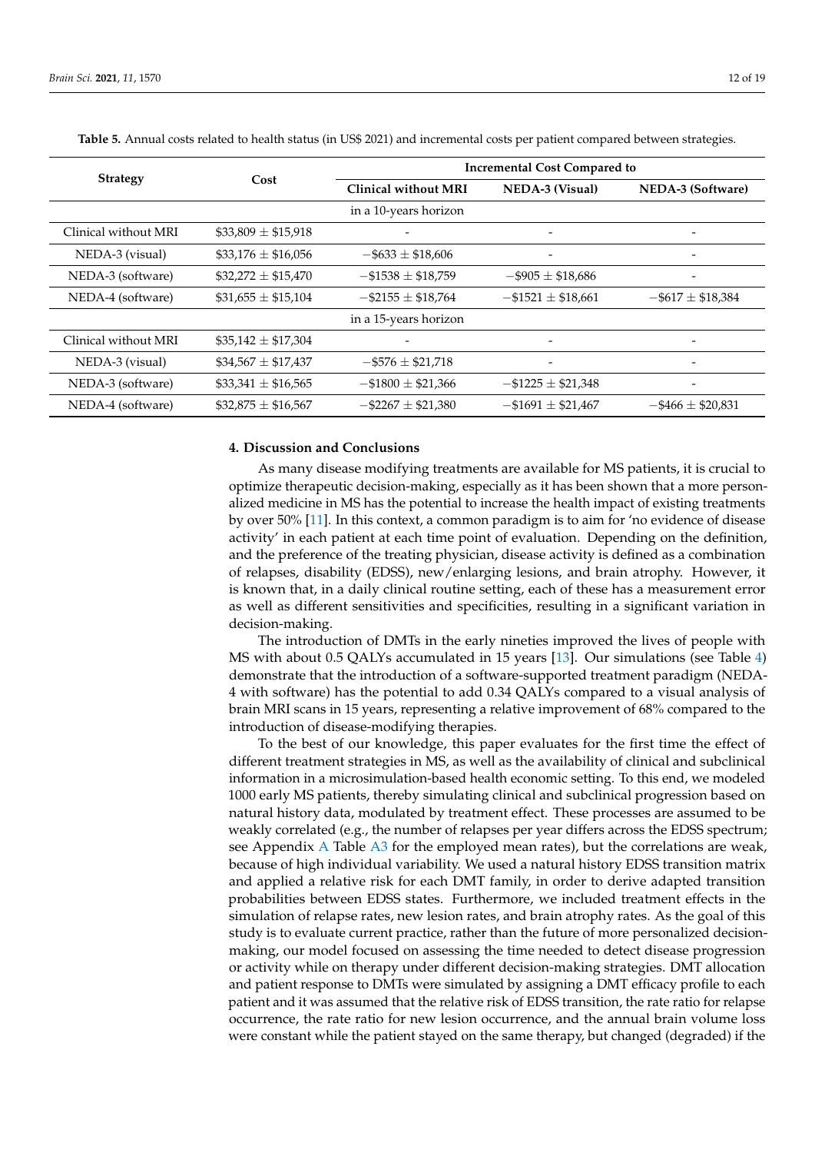| <b>Strategy</b>      |                         | <b>Incremental Cost Compared to</b> |                           |                          |  |  |  |  |  |
|----------------------|-------------------------|-------------------------------------|---------------------------|--------------------------|--|--|--|--|--|
|                      | Cost                    | <b>Clinical without MRI</b>         | <b>NEDA-3 (Visual)</b>    | NEDA-3 (Software)        |  |  |  |  |  |
|                      |                         | in a 10-years horizon               |                           |                          |  |  |  |  |  |
| Clinical without MRI | \$33,809 $\pm$ \$15,918 |                                     |                           |                          |  |  |  |  |  |
| NEDA-3 (visual)      | $$33,176 \pm $16,056$   | $-$ \$633 $\pm$ \$18,606            | -                         |                          |  |  |  |  |  |
| NEDA-3 (software)    | $$32,272 \pm $15,470$   | $-$ \$1538 $\pm$ \$18,759           | $-$ \$905 $\pm$ \$18,686  |                          |  |  |  |  |  |
| NEDA-4 (software)    | $$31,655 \pm $15,104$   | $-$ \$2155 $\pm$ \$18,764           | $-$ \$1521 $\pm$ \$18,661 | $-5617 \pm 18,384$       |  |  |  |  |  |
|                      |                         | in a 15-years horizon               |                           |                          |  |  |  |  |  |
| Clinical without MRI | $$35,142 \pm $17,304$   |                                     |                           |                          |  |  |  |  |  |
| NEDA-3 (visual)      | $$34,567 \pm $17,437$   | $-5576 \pm 21,718$                  | $\overline{\phantom{0}}$  |                          |  |  |  |  |  |
| NEDA-3 (software)    | $$33,341 \pm $16,565$   | $-$ \$1800 $\pm$ \$21,366           | $-$ \$1225 $\pm$ \$21,348 |                          |  |  |  |  |  |
| NEDA-4 (software)    | $$32,875 \pm $16,567$   | $-$ \$2267 $\pm$ \$21,380           | $-$ \$1691 $\pm$ \$21,467 | $-$ \$466 $\pm$ \$20,831 |  |  |  |  |  |

<span id="page-11-0"></span>**Table 5.** Annual costs related to health status (in US\$ 2021) and incremental costs per patient compared between strategies.

# **4. Discussion and Conclusions**

As many disease modifying treatments are available for MS patients, it is crucial to optimize therapeutic decision-making, especially as it has been shown that a more personalized medicine in MS has the potential to increase the health impact of existing treatments by over 50% [\[11\]](#page-17-9). In this context, a common paradigm is to aim for 'no evidence of disease activity' in each patient at each time point of evaluation. Depending on the definition, and the preference of the treating physician, disease activity is defined as a combination of relapses, disability (EDSS), new/enlarging lesions, and brain atrophy. However, it is known that, in a daily clinical routine setting, each of these has a measurement error as well as different sensitivities and specificities, resulting in a significant variation in decision-making.

The introduction of DMTs in the early nineties improved the lives of people with MS with about 0.5 QALYs accumulated in 15 years [\[13\]](#page-17-18). Our simulations (see Table [4\)](#page-10-0) demonstrate that the introduction of a software-supported treatment paradigm (NEDA-4 with software) has the potential to add 0.34 QALYs compared to a visual analysis of brain MRI scans in 15 years, representing a relative improvement of 68% compared to the introduction of disease-modifying therapies.

To the best of our knowledge, this paper evaluates for the first time the effect of different treatment strategies in MS, as well as the availability of clinical and subclinical information in a microsimulation-based health economic setting. To this end, we modeled 1000 early MS patients, thereby simulating clinical and subclinical progression based on natural history data, modulated by treatment effect. These processes are assumed to be weakly correlated (e.g., the number of relapses per year differs across the EDSS spectrum; see Appendix [A](#page-13-0) Table [A3](#page-14-1) for the employed mean rates), but the correlations are weak, because of high individual variability. We used a natural history EDSS transition matrix and applied a relative risk for each DMT family, in order to derive adapted transition probabilities between EDSS states. Furthermore, we included treatment effects in the simulation of relapse rates, new lesion rates, and brain atrophy rates. As the goal of this study is to evaluate current practice, rather than the future of more personalized decisionmaking, our model focused on assessing the time needed to detect disease progression or activity while on therapy under different decision-making strategies. DMT allocation and patient response to DMTs were simulated by assigning a DMT efficacy profile to each patient and it was assumed that the relative risk of EDSS transition, the rate ratio for relapse occurrence, the rate ratio for new lesion occurrence, and the annual brain volume loss were constant while the patient stayed on the same therapy, but changed (degraded) if the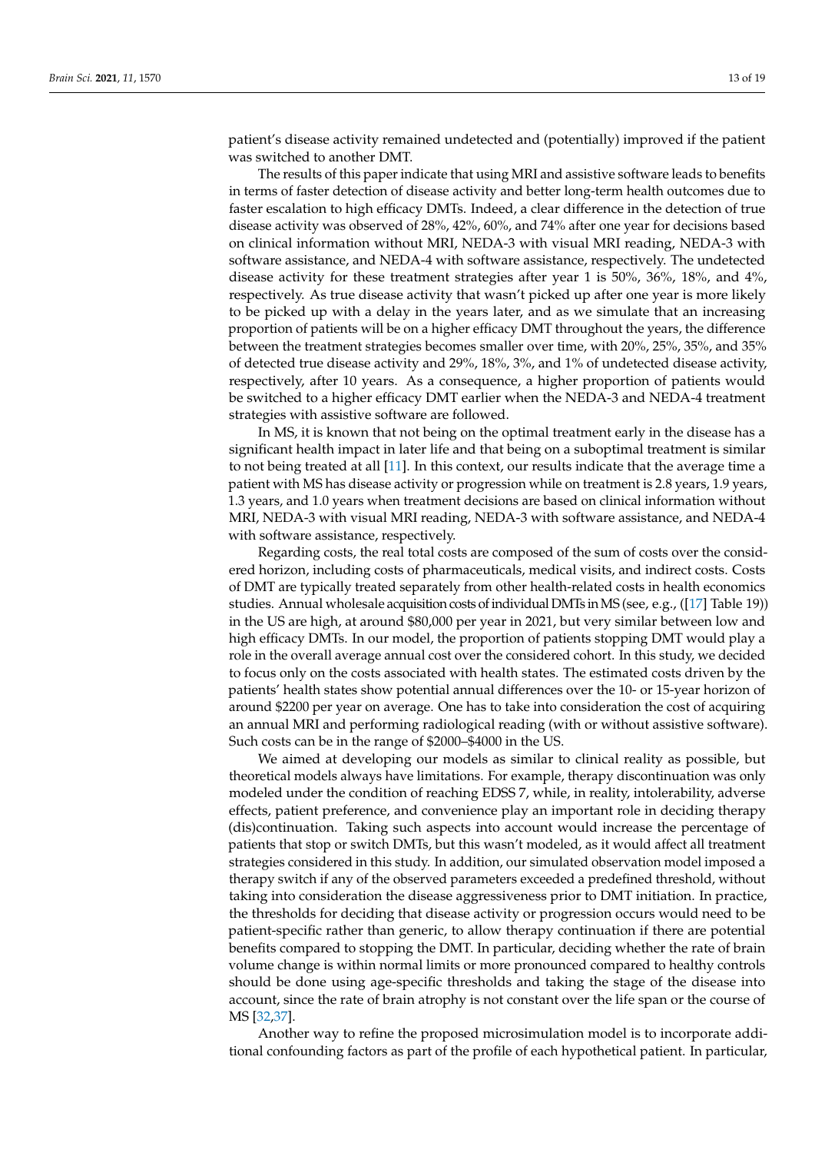patient's disease activity remained undetected and (potentially) improved if the patient was switched to another DMT.

The results of this paper indicate that using MRI and assistive software leads to benefits in terms of faster detection of disease activity and better long-term health outcomes due to faster escalation to high efficacy DMTs. Indeed, a clear difference in the detection of true disease activity was observed of 28%, 42%, 60%, and 74% after one year for decisions based on clinical information without MRI, NEDA-3 with visual MRI reading, NEDA-3 with software assistance, and NEDA-4 with software assistance, respectively. The undetected disease activity for these treatment strategies after year 1 is 50%, 36%, 18%, and 4%, respectively. As true disease activity that wasn't picked up after one year is more likely to be picked up with a delay in the years later, and as we simulate that an increasing proportion of patients will be on a higher efficacy DMT throughout the years, the difference between the treatment strategies becomes smaller over time, with 20%, 25%, 35%, and 35% of detected true disease activity and 29%, 18%, 3%, and 1% of undetected disease activity, respectively, after 10 years. As a consequence, a higher proportion of patients would be switched to a higher efficacy DMT earlier when the NEDA-3 and NEDA-4 treatment strategies with assistive software are followed.

In MS, it is known that not being on the optimal treatment early in the disease has a significant health impact in later life and that being on a suboptimal treatment is similar to not being treated at all [\[11\]](#page-17-9). In this context, our results indicate that the average time a patient with MS has disease activity or progression while on treatment is 2.8 years, 1.9 years, 1.3 years, and 1.0 years when treatment decisions are based on clinical information without MRI, NEDA-3 with visual MRI reading, NEDA-3 with software assistance, and NEDA-4 with software assistance, respectively.

Regarding costs, the real total costs are composed of the sum of costs over the considered horizon, including costs of pharmaceuticals, medical visits, and indirect costs. Costs of DMT are typically treated separately from other health-related costs in health economics studies. Annual wholesale acquisition costs of individual DMTs inMS (see, e.g., ([\[17\]](#page-17-14) Table 19)) in the US are high, at around \$80,000 per year in 2021, but very similar between low and high efficacy DMTs. In our model, the proportion of patients stopping DMT would play a role in the overall average annual cost over the considered cohort. In this study, we decided to focus only on the costs associated with health states. The estimated costs driven by the patients' health states show potential annual differences over the 10- or 15-year horizon of around \$2200 per year on average. One has to take into consideration the cost of acquiring an annual MRI and performing radiological reading (with or without assistive software). Such costs can be in the range of \$2000–\$4000 in the US.

We aimed at developing our models as similar to clinical reality as possible, but theoretical models always have limitations. For example, therapy discontinuation was only modeled under the condition of reaching EDSS 7, while, in reality, intolerability, adverse effects, patient preference, and convenience play an important role in deciding therapy (dis)continuation. Taking such aspects into account would increase the percentage of patients that stop or switch DMTs, but this wasn't modeled, as it would affect all treatment strategies considered in this study. In addition, our simulated observation model imposed a therapy switch if any of the observed parameters exceeded a predefined threshold, without taking into consideration the disease aggressiveness prior to DMT initiation. In practice, the thresholds for deciding that disease activity or progression occurs would need to be patient-specific rather than generic, to allow therapy continuation if there are potential benefits compared to stopping the DMT. In particular, deciding whether the rate of brain volume change is within normal limits or more pronounced compared to healthy controls should be done using age-specific thresholds and taking the stage of the disease into account, since the rate of brain atrophy is not constant over the life span or the course of MS [\[32,](#page-18-9)[37\]](#page-18-14).

Another way to refine the proposed microsimulation model is to incorporate additional confounding factors as part of the profile of each hypothetical patient. In particular,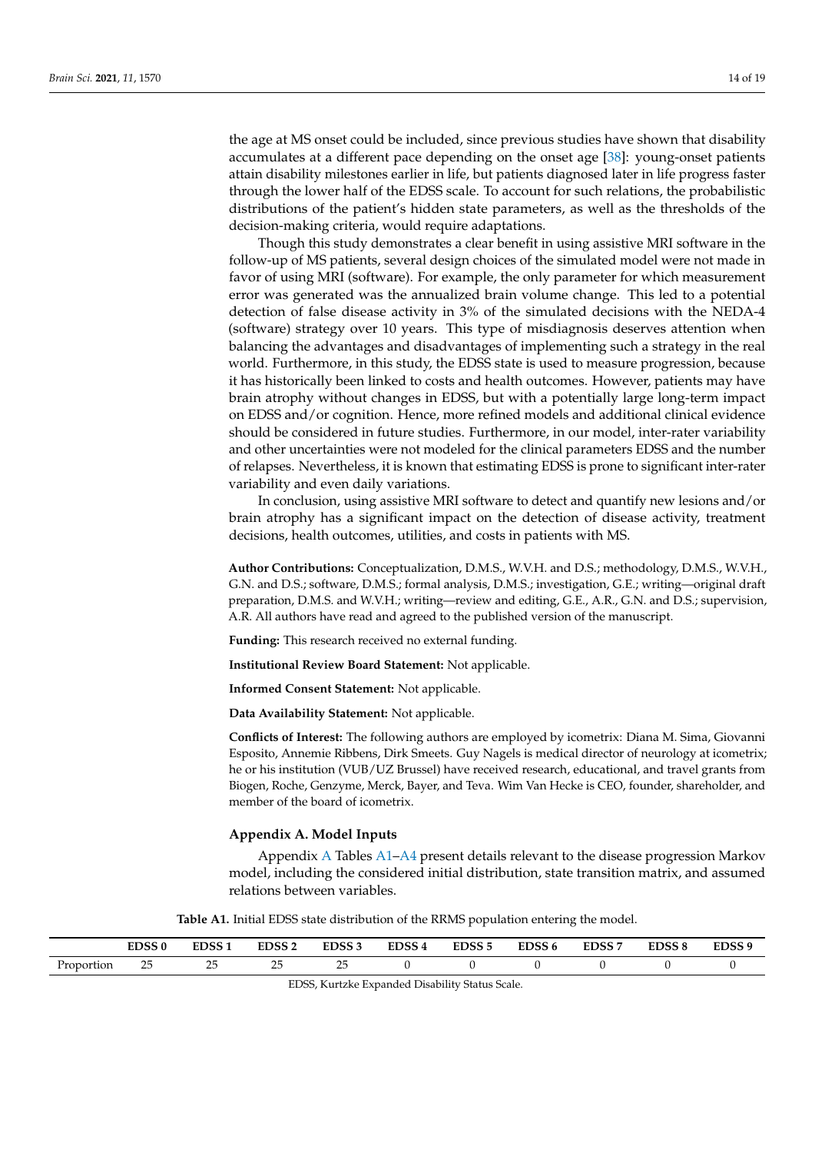the age at MS onset could be included, since previous studies have shown that disability accumulates at a different pace depending on the onset age [\[38\]](#page-18-15): young-onset patients attain disability milestones earlier in life, but patients diagnosed later in life progress faster through the lower half of the EDSS scale. To account for such relations, the probabilistic distributions of the patient's hidden state parameters, as well as the thresholds of the decision-making criteria, would require adaptations.

Though this study demonstrates a clear benefit in using assistive MRI software in the follow-up of MS patients, several design choices of the simulated model were not made in favor of using MRI (software). For example, the only parameter for which measurement error was generated was the annualized brain volume change. This led to a potential detection of false disease activity in 3% of the simulated decisions with the NEDA-4 (software) strategy over 10 years. This type of misdiagnosis deserves attention when balancing the advantages and disadvantages of implementing such a strategy in the real world. Furthermore, in this study, the EDSS state is used to measure progression, because it has historically been linked to costs and health outcomes. However, patients may have brain atrophy without changes in EDSS, but with a potentially large long-term impact on EDSS and/or cognition. Hence, more refined models and additional clinical evidence should be considered in future studies. Furthermore, in our model, inter-rater variability and other uncertainties were not modeled for the clinical parameters EDSS and the number of relapses. Nevertheless, it is known that estimating EDSS is prone to significant inter-rater variability and even daily variations.

In conclusion, using assistive MRI software to detect and quantify new lesions and/or brain atrophy has a significant impact on the detection of disease activity, treatment decisions, health outcomes, utilities, and costs in patients with MS.

**Author Contributions:** Conceptualization, D.M.S., W.V.H. and D.S.; methodology, D.M.S., W.V.H., G.N. and D.S.; software, D.M.S.; formal analysis, D.M.S.; investigation, G.E.; writing—original draft preparation, D.M.S. and W.V.H.; writing—review and editing, G.E., A.R., G.N. and D.S.; supervision, A.R. All authors have read and agreed to the published version of the manuscript.

**Funding:** This research received no external funding.

**Institutional Review Board Statement:** Not applicable.

**Informed Consent Statement:** Not applicable.

**Data Availability Statement:** Not applicable.

**Conflicts of Interest:** The following authors are employed by icometrix: Diana M. Sima, Giovanni Esposito, Annemie Ribbens, Dirk Smeets. Guy Nagels is medical director of neurology at icometrix; he or his institution (VUB/UZ Brussel) have received research, educational, and travel grants from Biogen, Roche, Genzyme, Merck, Bayer, and Teva. Wim Van Hecke is CEO, founder, shareholder, and member of the board of icometrix.

#### <span id="page-13-0"></span>**Appendix A. Model Inputs**

Appendix [A](#page-13-0) Tables [A1](#page-13-1)[–A4](#page-14-2) present details relevant to the disease progression Markov model, including the considered initial distribution, state transition matrix, and assumed relations between variables.

**Table A1.** Initial EDSS state distribution of the RRMS population entering the model.

<span id="page-13-1"></span>

|            | <b>EDCC 0</b><br>EDSS U | EDSS <sub>1</sub>  | <b>EDSS2</b>                           | EDSS <sub>3</sub> | EDSS <sub>4</sub> | EDSS <sub>5</sub> | EDSS <sub>6</sub> | <b>EDSS7</b> | <b>EDSS 8</b> | EDSS <sub>9</sub> |
|------------|-------------------------|--------------------|----------------------------------------|-------------------|-------------------|-------------------|-------------------|--------------|---------------|-------------------|
| Proportion | າເ<br>سک<br>---         | $\sim$ $\sim$<br>∽ | n r<br>$\overline{\phantom{a}}$<br>--- | ب ک<br>---        |                   |                   |                   |              |               |                   |

EDSS, Kurtzke Expanded Disability Status Scale.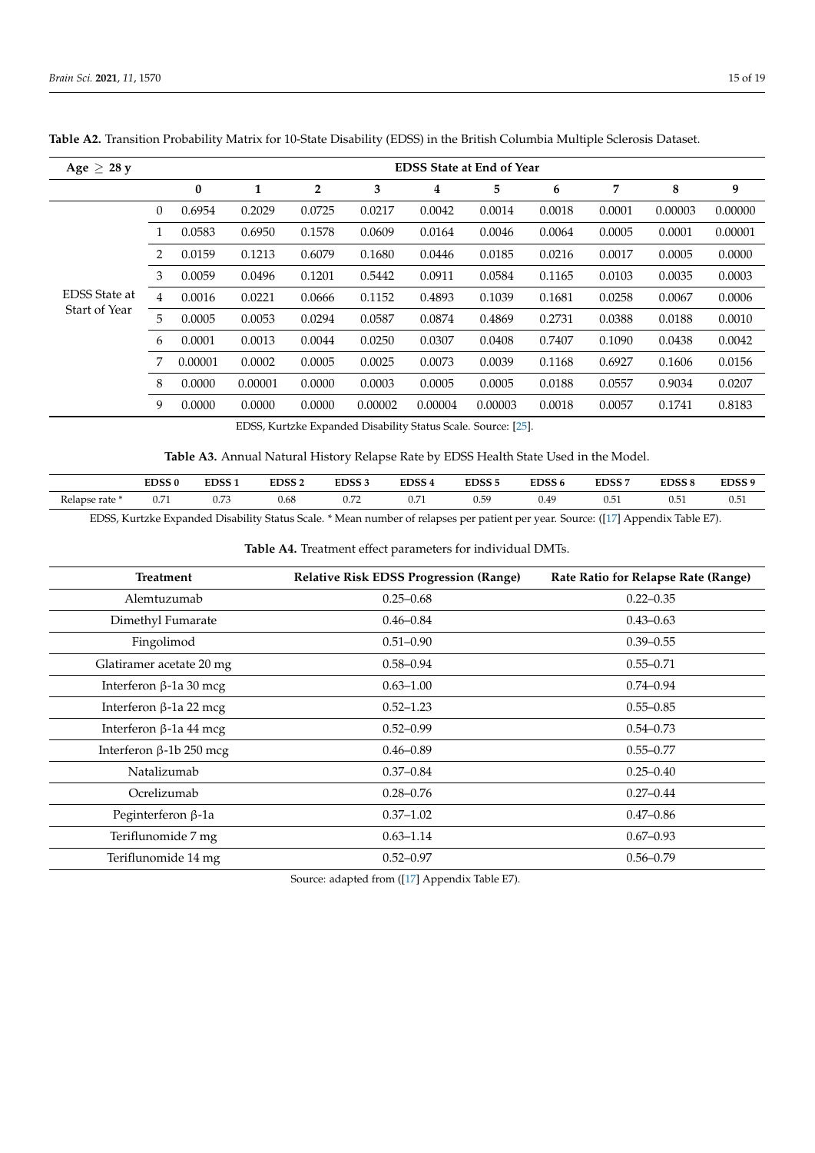| Age $\geq$ 28 y      |          |          |         |                |         |         | <b>EDSS State at End of Year</b> |        |        |         |         |
|----------------------|----------|----------|---------|----------------|---------|---------|----------------------------------|--------|--------|---------|---------|
|                      |          | $\bf{0}$ | 1       | $\overline{2}$ | 3       | 4       | 5                                | 6      | 7      | 8       | 9       |
|                      | $\theta$ | 0.6954   | 0.2029  | 0.0725         | 0.0217  | 0.0042  | 0.0014                           | 0.0018 | 0.0001 | 0.00003 | 0.00000 |
|                      | 1        | 0.0583   | 0.6950  | 0.1578         | 0.0609  | 0.0164  | 0.0046                           | 0.0064 | 0.0005 | 0.0001  | 0.00001 |
|                      | 2        | 0.0159   | 0.1213  | 0.6079         | 0.1680  | 0.0446  | 0.0185                           | 0.0216 | 0.0017 | 0.0005  | 0.0000  |
|                      | 3        | 0.0059   | 0.0496  | 0.1201         | 0.5442  | 0.0911  | 0.0584                           | 0.1165 | 0.0103 | 0.0035  | 0.0003  |
| <b>EDSS</b> State at | 4        | 0.0016   | 0.0221  | 0.0666         | 0.1152  | 0.4893  | 0.1039                           | 0.1681 | 0.0258 | 0.0067  | 0.0006  |
| Start of Year        | 5        | 0.0005   | 0.0053  | 0.0294         | 0.0587  | 0.0874  | 0.4869                           | 0.2731 | 0.0388 | 0.0188  | 0.0010  |
|                      | 6        | 0.0001   | 0.0013  | 0.0044         | 0.0250  | 0.0307  | 0.0408                           | 0.7407 | 0.1090 | 0.0438  | 0.0042  |
|                      | 7        | 0.00001  | 0.0002  | 0.0005         | 0.0025  | 0.0073  | 0.0039                           | 0.1168 | 0.6927 | 0.1606  | 0.0156  |
|                      | 8        | 0.0000   | 0.00001 | 0.0000         | 0.0003  | 0.0005  | 0.0005                           | 0.0188 | 0.0557 | 0.9034  | 0.0207  |
|                      | 9        | 0.0000   | 0.0000  | 0.0000         | 0.00002 | 0.00004 | 0.00003                          | 0.0018 | 0.0057 | 0.1741  | 0.8183  |

<span id="page-14-0"></span>**Table A2.** Transition Probability Matrix for 10-State Disability (EDSS) in the British Columbia Multiple Sclerosis Dataset.

EDSS, Kurtzke Expanded Disability Status Scale. Source: [\[25\]](#page-18-2).

**Table A3.** Annual Natural History Relapse Rate by EDSS Health State Used in the Model.

<span id="page-14-1"></span>

|              | EDSS <sub>0</sub>        | EDSS <sub>1</sub>       | EDSS <sub>2</sub> | EDSS <sub>3</sub> | EDSS <sub>4</sub>     | EDSS <sub>5</sub> | EDSS <sub>6</sub> | <b>EDSS7</b> | <b>EDSS 8</b> | EDSS <sub>9</sub>  |
|--------------|--------------------------|-------------------------|-------------------|-------------------|-----------------------|-------------------|-------------------|--------------|---------------|--------------------|
| Relapse rate | $\sim$ $\sim$ 1<br>U.7 1 | $\overline{a}$<br>v./ J | 0.68              | ∪.∠∠              | $\sim$ $\sim$<br>0.71 | 0.59              | 0.49              | ∪.∪⊥         | 0.51<br>.     | $\sim$ $-$<br>0.51 |

EDSS, Kurtzke Expanded Disability Status Scale. \* Mean number of relapses per patient per year. Source: ([\[17\]](#page-17-14) Appendix Table E7).

**Table A4.** Treatment effect parameters for individual DMTs.

<span id="page-14-2"></span>

| <b>Treatment</b>               | <b>Relative Risk EDSS Progression (Range)</b> | Rate Ratio for Relapse Rate (Range) |
|--------------------------------|-----------------------------------------------|-------------------------------------|
| Alemtuzumab                    | $0.25 - 0.68$                                 | $0.22 - 0.35$                       |
| Dimethyl Fumarate              | $0.46 - 0.84$                                 | $0.43 - 0.63$                       |
| Fingolimod                     | $0.51 - 0.90$                                 | $0.39 - 0.55$                       |
| Glatiramer acetate 20 mg       | $0.58 - 0.94$                                 | $0.55 - 0.71$                       |
| Interferon $\beta$ -1a 30 mcg  | $0.63 - 1.00$                                 | $0.74 - 0.94$                       |
| Interferon $\beta$ -1a 22 mcg  | $0.52 - 1.23$                                 | $0.55 - 0.85$                       |
| Interferon $\beta$ -1a 44 mcg  | $0.52 - 0.99$                                 | $0.54 - 0.73$                       |
| Interferon $\beta$ -1b 250 mcg | $0.46 - 0.89$                                 | $0.55 - 0.77$                       |
| Natalizumab                    | $0.37 - 0.84$                                 | $0.25 - 0.40$                       |
| Ocrelizumab                    | $0.28 - 0.76$                                 | $0.27 - 0.44$                       |
| Peginterferon $\beta$ -1a      | $0.37 - 1.02$                                 | $0.47 - 0.86$                       |
| Teriflunomide 7 mg             | $0.63 - 1.14$                                 | $0.67 - 0.93$                       |
| Teriflunomide 14 mg            | $0.52 - 0.97$                                 | $0.56 - 0.79$                       |

Source: adapted from ([\[17\]](#page-17-14) Appendix Table E7).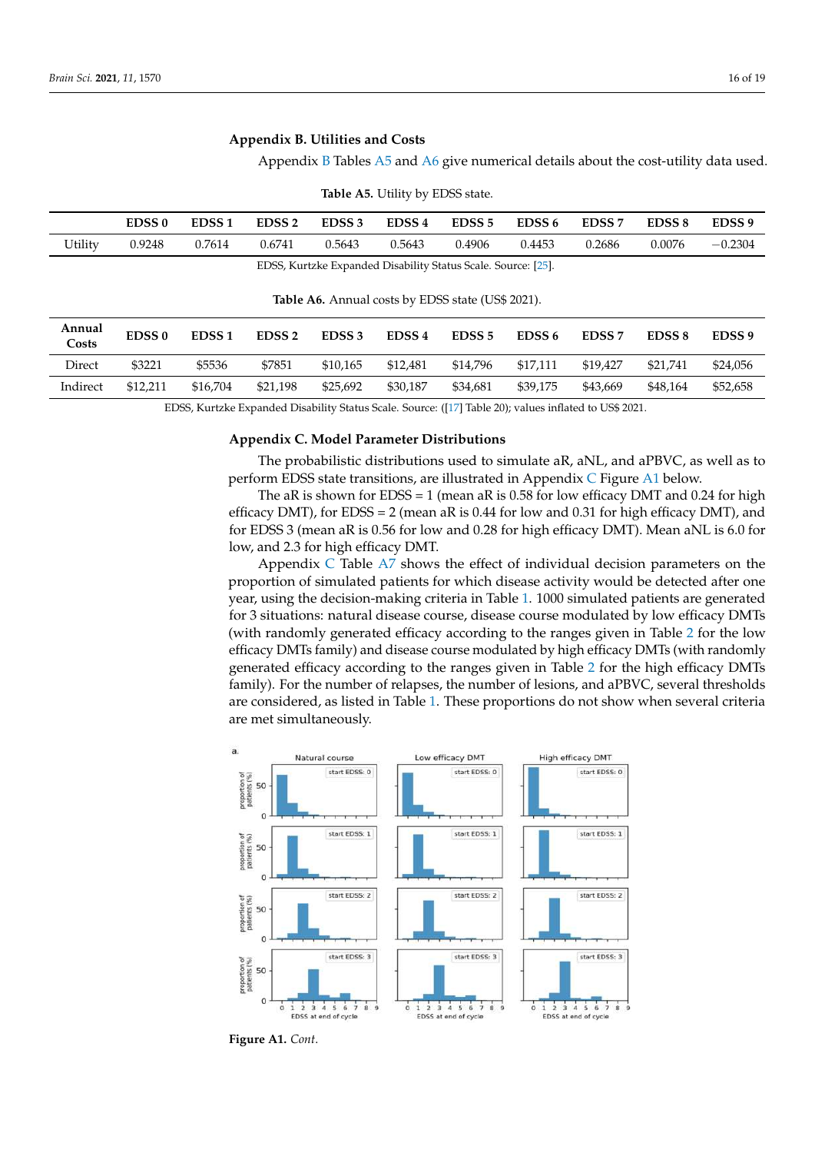# <span id="page-15-1"></span>**Appendix B. Utilities and Costs**

Appendix [B](#page-15-1) Tables [A5](#page-15-2) and [A6](#page-15-3) give numerical details about the cost-utility data used.

<span id="page-15-2"></span>

|         | EDSS <sub>0</sub> | EDSS <sub>1</sub> | EDSS <sub>2</sub> | EDSS <sub>3</sub> | EDSS 4 | EDSS 5 | EDSS 6 | EDSS <sub>7</sub> | EDSS <sub>8</sub> | EDSS <sub>9</sub> |
|---------|-------------------|-------------------|-------------------|-------------------|--------|--------|--------|-------------------|-------------------|-------------------|
| Utility | 0.9248            | 0.7614            | 0.6741            | 0.5643            | 0.5643 | 0.4906 | 0.4453 | 0.2686            | 0.0076            | $-0.2304$         |

**Table A5.** Utility by EDSS state.

EDSS, Kurtzke Expanded Disability Status Scale. Source: [\[25\]](#page-18-2).

**Table A6.** Annual costs by EDSS state (US\$ 2021).

<span id="page-15-3"></span>

| Annual<br>Costs | <b>EDSS0</b> | EDSS <sub>1</sub> | EDSS <sub>2</sub> | EDSS <sub>3</sub> | EDSS <sub>4</sub> | EDSS <sub>5</sub> | EDSS 6   | EDSS <sub>7</sub> | EDSS <sub>8</sub> | EDSS <sub>9</sub> |
|-----------------|--------------|-------------------|-------------------|-------------------|-------------------|-------------------|----------|-------------------|-------------------|-------------------|
| Direct          | \$3221       | \$5536            | \$7851            | \$10.165          | \$12,481          | \$14,796          | \$17,111 | \$19,427          | \$21,741          | \$24,056          |
| Indirect        | \$12,211     | \$16.704          | \$21.198          | \$25.692          | \$30,187          | \$34.681          | \$39,175 | \$43,669          | \$48.164          | \$52,658          |

EDSS, Kurtzke Expanded Disability Status Scale. Source: ([\[17\]](#page-17-14) Table 20); values inflated to US\$ 2021.

#### **Appendix C. Model Parameter Distributions**

The probabilistic distributions used to simulate aR, aNL, and aPBVC, as well as to perform EDSS state transitions, are illustrated in Appendix [C](#page-15-0) Figure [A1](#page-16-0) below.

> <span id="page-15-0"></span>The aR is shown for EDSS = 1 (mean aR is 0.58 for low efficacy DMT and 0.24 for high efficacy DMT), for EDSS = 2 (mean aR is 0.44 for low and 0.31 for high efficacy DMT), and for EDSS 3 (mean aR is 0.56 for low and 0.28 for high efficacy DMT). Mean aNL is 6.0 for low, and 2.3 for high efficacy DMT.

> Appendix [C](#page-15-0) Table  $A\bar{z}$  shows the effect of individual decision parameters on the proportion of simulated patients for which disease activity would be detected after one year, using the decision-making criteria in Table [1.](#page-3-0) 1000 simulated patients are generated for 3 situations: natural disease course, disease course modulated by low efficacy DMTs (with randomly generated efficacy according to the ranges given in Table [2](#page-7-0) for the low efficacy DMTs family) and disease course modulated by high efficacy DMTs (with randomly generated efficacy according to the ranges given in Table 2 for the high efficacy DMTs family). For the number of relapses, the number of lesions, and aPBVC, several thresholds are considered, as listed in Table [1.](#page-3-0) These proportions do not show when several criteria are met simultaneously. proportion of simulated p erricacy Divi is family) and disease course modulated by high efficacy D. are meet one



**Figure A1.** *Cont*.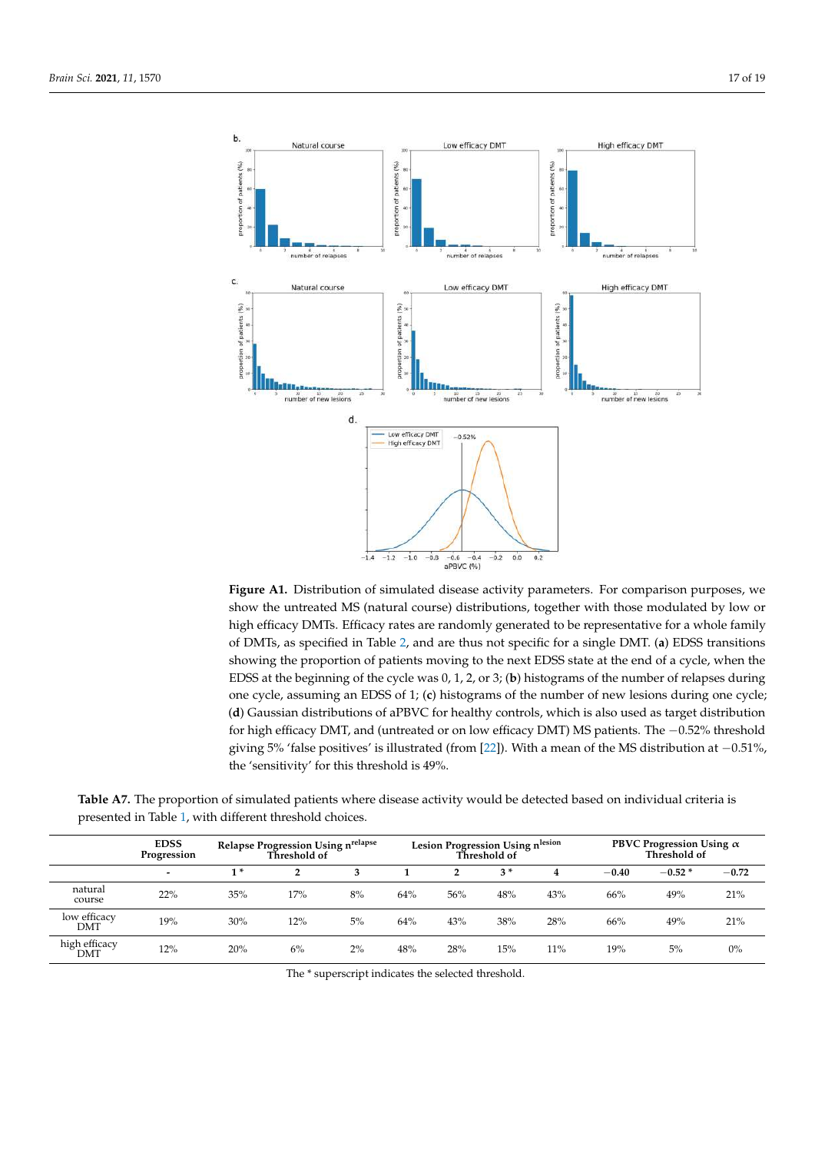<span id="page-16-0"></span>

**Figure A1.** Distribution of simulated disease activity parameters. For comparison purposes, we **Figure A1.** Distribution of simulated disease activity parameters. For comparison purposes, we show the untreated MS (natural course) distributions, together with those modulated by low or high show the untreated MS (natural course) distributions, together with those modulated by low or high efficacy DMTs. Efficacy rates are randomly generated to be representative for a whole family of DMTs, as specified in Table 2, and are thus not specific for a single DMT. (**a**) EDSS transitions showing the proportion of patients moving to the next EDSS state at the end of a cycle, when the EDSS at the beginning of the cycle was 0, 1, 2, or 3; (b) histograms of the number of relapses during  $\frac{1}{2}$  distributions of a  $\frac{1}{2}$  for  $\frac{1}{2}$  is also used as target distribution for high efficiency. one cycle, assuming an EDSS of 1; (**c**) histograms of the number of new lesions during one cycle; (**d**) Gaussian distributions of aPBVC for healthy controls, which is also used as target distribution for high efficacy DMT, and (untreated or on low efficacy DMT) MS patients. The −0.52% threshold  $T_{\text{max}}$  Table A<sub>7</sub>.  $T_{\text{max}}$  is the proportion of simulated based on individual criteria is  $\frac{1}{2}$  is detected by  $\frac{1}{2}$  is detected based on individual criteria is detected by  $\frac{1}{2}$  is detected by  $\frac{1}{2}$  the 'sensitivity' for this threshold is 49%. giving 5% 'false positives' is illustrated (from [\[22\]](#page-17-17)). With a mean of the MS distribution at −0.51%,

|                      | <b>EDSS</b><br>Progression | <b>Relapse Progression Using nrelapse</b><br>Threshold of |                |    |     | Lesion Progression Using nlesion<br>Threshold of |      |     |         | PBVC Progression Using $\alpha$<br>Threshold of |         |  |
|----------------------|----------------------------|-----------------------------------------------------------|----------------|----|-----|--------------------------------------------------|------|-----|---------|-------------------------------------------------|---------|--|
|                      | $\,$                       | $1*$                                                      | $\overline{2}$ | 3  |     | 2                                                | $3*$ | 4   | $-0.40$ | $-0.52*$                                        | $-0.72$ |  |
| natural<br>course    | 22%                        | 35%                                                       | 17%            | 8% | 64% | 56%                                              | 48%  | 43% | 66%     | 49%                                             | 21%     |  |
| low efficacy<br>DMT  | 19%                        | 30%                                                       | 12%            | 5% | 64% | 43%                                              | 38%  | 28% | 66%     | 49%                                             | 21%     |  |
| high efficacy<br>DMT | 12%                        | 20%                                                       | 6%             | 2% | 48% | 28%                                              | 15%  | 11% | 19%     | 5%                                              | $0\%$   |  |

<span id="page-16-1"></span>Table A7. The proportion of simulated patients where disease activity would be detected based on individual criteria is presented in Table [1,](#page-3-0) with different threshold choices.

The \* superscript indicates the selected threshold.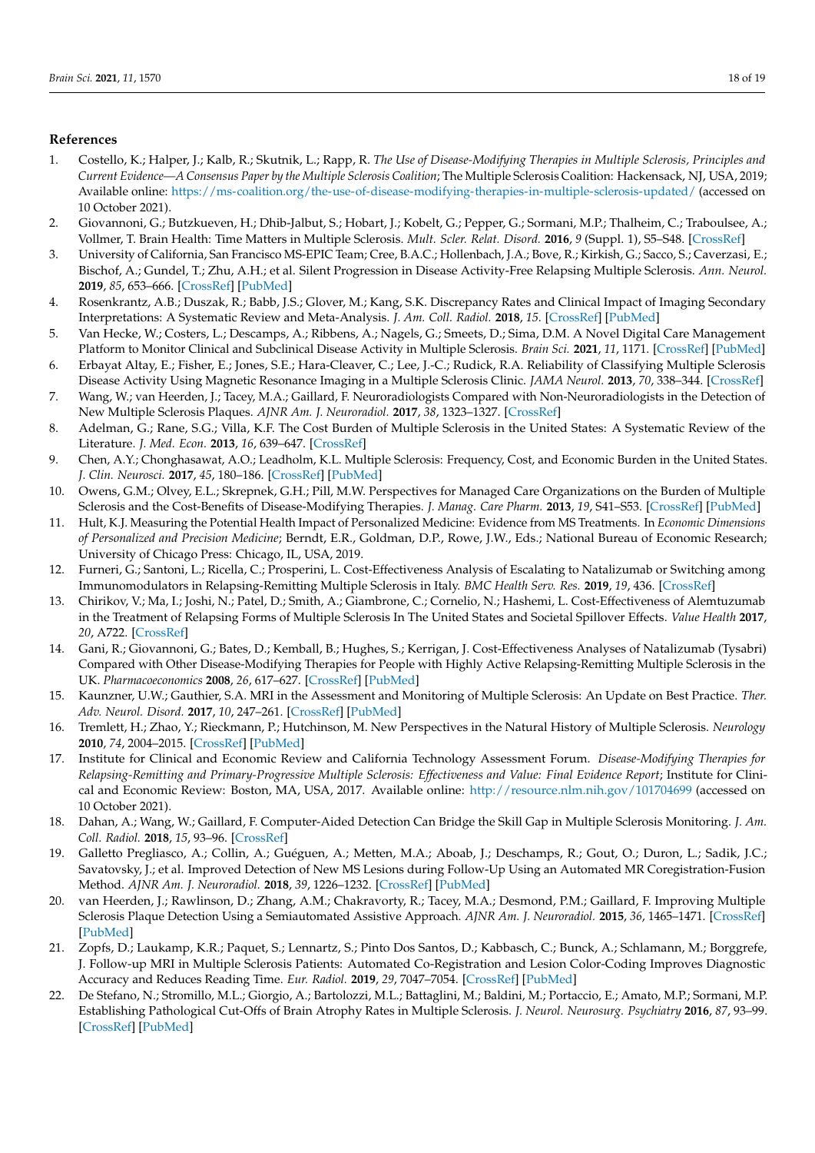# **References**

- <span id="page-17-0"></span>1. Costello, K.; Halper, J.; Kalb, R.; Skutnik, L.; Rapp, R. *The Use of Disease-Modifying Therapies in Multiple Sclerosis, Principles and Current Evidence—A Consensus Paper by the Multiple Sclerosis Coalition*; The Multiple Sclerosis Coalition: Hackensack, NJ, USA, 2019; Available online: <https://ms-coalition.org/the-use-of-disease-modifying-therapies-in-multiple-sclerosis-updated/> (accessed on 10 October 2021).
- <span id="page-17-1"></span>2. Giovannoni, G.; Butzkueven, H.; Dhib-Jalbut, S.; Hobart, J.; Kobelt, G.; Pepper, G.; Sormani, M.P.; Thalheim, C.; Traboulsee, A.; Vollmer, T. Brain Health: Time Matters in Multiple Sclerosis. *Mult. Scler. Relat. Disord.* **2016**, *9* (Suppl. 1), S5–S48. [\[CrossRef\]](http://doi.org/10.1016/j.msard.2016.07.003)
- <span id="page-17-2"></span>3. University of California, San Francisco MS-EPIC Team; Cree, B.A.C.; Hollenbach, J.A.; Bove, R.; Kirkish, G.; Sacco, S.; Caverzasi, E.; Bischof, A.; Gundel, T.; Zhu, A.H.; et al. Silent Progression in Disease Activity-Free Relapsing Multiple Sclerosis. *Ann. Neurol.* **2019**, *85*, 653–666. [\[CrossRef\]](http://doi.org/10.1002/ana.25463) [\[PubMed\]](http://www.ncbi.nlm.nih.gov/pubmed/30851128)
- <span id="page-17-3"></span>4. Rosenkrantz, A.B.; Duszak, R.; Babb, J.S.; Glover, M.; Kang, S.K. Discrepancy Rates and Clinical Impact of Imaging Secondary Interpretations: A Systematic Review and Meta-Analysis. *J. Am. Coll. Radiol.* **2018**, *15*. [\[CrossRef\]](http://doi.org/10.1016/j.jacr.2018.05.037) [\[PubMed\]](http://www.ncbi.nlm.nih.gov/pubmed/30031614)
- <span id="page-17-4"></span>5. Van Hecke, W.; Costers, L.; Descamps, A.; Ribbens, A.; Nagels, G.; Smeets, D.; Sima, D.M. A Novel Digital Care Management Platform to Monitor Clinical and Subclinical Disease Activity in Multiple Sclerosis. *Brain Sci.* **2021**, *11*, 1171. [\[CrossRef\]](http://doi.org/10.3390/brainsci11091171) [\[PubMed\]](http://www.ncbi.nlm.nih.gov/pubmed/34573193)
- <span id="page-17-5"></span>6. Erbayat Altay, E.; Fisher, E.; Jones, S.E.; Hara-Cleaver, C.; Lee, J.-C.; Rudick, R.A. Reliability of Classifying Multiple Sclerosis Disease Activity Using Magnetic Resonance Imaging in a Multiple Sclerosis Clinic. *JAMA Neurol.* **2013**, *70*, 338–344. [\[CrossRef\]](http://doi.org/10.1001/2013.jamaneurol.211)
- <span id="page-17-6"></span>7. Wang, W.; van Heerden, J.; Tacey, M.A.; Gaillard, F. Neuroradiologists Compared with Non-Neuroradiologists in the Detection of New Multiple Sclerosis Plaques. *AJNR Am. J. Neuroradiol.* **2017**, *38*, 1323–1327. [\[CrossRef\]](http://doi.org/10.3174/ajnr.A5185)
- <span id="page-17-7"></span>8. Adelman, G.; Rane, S.G.; Villa, K.F. The Cost Burden of Multiple Sclerosis in the United States: A Systematic Review of the Literature. *J. Med. Econ.* **2013**, *16*, 639–647. [\[CrossRef\]](http://doi.org/10.3111/13696998.2013.778268)
- 9. Chen, A.Y.; Chonghasawat, A.O.; Leadholm, K.L. Multiple Sclerosis: Frequency, Cost, and Economic Burden in the United States. *J. Clin. Neurosci.* **2017**, *45*, 180–186. [\[CrossRef\]](http://doi.org/10.1016/j.jocn.2017.06.005) [\[PubMed\]](http://www.ncbi.nlm.nih.gov/pubmed/28676312)
- <span id="page-17-8"></span>10. Owens, G.M.; Olvey, E.L.; Skrepnek, G.H.; Pill, M.W. Perspectives for Managed Care Organizations on the Burden of Multiple Sclerosis and the Cost-Benefits of Disease-Modifying Therapies. *J. Manag. Care Pharm.* **2013**, *19*, S41–S53. [\[CrossRef\]](http://doi.org/10.18553/jmcp.2013.19.s1.S41) [\[PubMed\]](http://www.ncbi.nlm.nih.gov/pubmed/23383732)
- <span id="page-17-9"></span>11. Hult, K.J. Measuring the Potential Health Impact of Personalized Medicine: Evidence from MS Treatments. In *Economic Dimensions of Personalized and Precision Medicine*; Berndt, E.R., Goldman, D.P., Rowe, J.W., Eds.; National Bureau of Economic Research; University of Chicago Press: Chicago, IL, USA, 2019.
- <span id="page-17-10"></span>12. Furneri, G.; Santoni, L.; Ricella, C.; Prosperini, L. Cost-Effectiveness Analysis of Escalating to Natalizumab or Switching among Immunomodulators in Relapsing-Remitting Multiple Sclerosis in Italy. *BMC Health Serv. Res.* **2019**, *19*, 436. [\[CrossRef\]](http://doi.org/10.1186/s12913-019-4264-1)
- <span id="page-17-18"></span>13. Chirikov, V.; Ma, I.; Joshi, N.; Patel, D.; Smith, A.; Giambrone, C.; Cornelio, N.; Hashemi, L. Cost-Effectiveness of Alemtuzumab in the Treatment of Relapsing Forms of Multiple Sclerosis In The United States and Societal Spillover Effects. *Value Health* **2017**, *20*, A722. [\[CrossRef\]](http://doi.org/10.1016/j.jval.2017.08.1942)
- <span id="page-17-11"></span>14. Gani, R.; Giovannoni, G.; Bates, D.; Kemball, B.; Hughes, S.; Kerrigan, J. Cost-Effectiveness Analyses of Natalizumab (Tysabri) Compared with Other Disease-Modifying Therapies for People with Highly Active Relapsing-Remitting Multiple Sclerosis in the UK. *Pharmacoeconomics* **2008**, *26*, 617–627. [\[CrossRef\]](http://doi.org/10.2165/00019053-200826070-00008) [\[PubMed\]](http://www.ncbi.nlm.nih.gov/pubmed/18563952)
- <span id="page-17-12"></span>15. Kaunzner, U.W.; Gauthier, S.A. MRI in the Assessment and Monitoring of Multiple Sclerosis: An Update on Best Practice. *Ther. Adv. Neurol. Disord.* **2017**, *10*, 247–261. [\[CrossRef\]](http://doi.org/10.1177/1756285617708911) [\[PubMed\]](http://www.ncbi.nlm.nih.gov/pubmed/28607577)
- <span id="page-17-13"></span>16. Tremlett, H.; Zhao, Y.; Rieckmann, P.; Hutchinson, M. New Perspectives in the Natural History of Multiple Sclerosis. *Neurology* **2010**, *74*, 2004–2015. [\[CrossRef\]](http://doi.org/10.1212/WNL.0b013e3181e3973f) [\[PubMed\]](http://www.ncbi.nlm.nih.gov/pubmed/20548045)
- <span id="page-17-14"></span>17. Institute for Clinical and Economic Review and California Technology Assessment Forum. *Disease-Modifying Therapies for Relapsing-Remitting and Primary-Progressive Multiple Sclerosis: Effectiveness and Value: Final Evidence Report*; Institute for Clinical and Economic Review: Boston, MA, USA, 2017. Available online: <http://resource.nlm.nih.gov/101704699> (accessed on 10 October 2021).
- <span id="page-17-15"></span>18. Dahan, A.; Wang, W.; Gaillard, F. Computer-Aided Detection Can Bridge the Skill Gap in Multiple Sclerosis Monitoring. *J. Am. Coll. Radiol.* **2018**, *15*, 93–96. [\[CrossRef\]](http://doi.org/10.1016/j.jacr.2017.06.030)
- 19. Galletto Pregliasco, A.; Collin, A.; Guéguen, A.; Metten, M.A.; Aboab, J.; Deschamps, R.; Gout, O.; Duron, L.; Sadik, J.C.; Savatovsky, J.; et al. Improved Detection of New MS Lesions during Follow-Up Using an Automated MR Coregistration-Fusion Method. *AJNR Am. J. Neuroradiol.* **2018**, *39*, 1226–1232. [\[CrossRef\]](http://doi.org/10.3174/ajnr.A5690) [\[PubMed\]](http://www.ncbi.nlm.nih.gov/pubmed/29880479)
- 20. van Heerden, J.; Rawlinson, D.; Zhang, A.M.; Chakravorty, R.; Tacey, M.A.; Desmond, P.M.; Gaillard, F. Improving Multiple Sclerosis Plaque Detection Using a Semiautomated Assistive Approach. *AJNR Am. J. Neuroradiol.* **2015**, *36*, 1465–1471. [\[CrossRef\]](http://doi.org/10.3174/ajnr.A4375) [\[PubMed\]](http://www.ncbi.nlm.nih.gov/pubmed/26089318)
- <span id="page-17-16"></span>21. Zopfs, D.; Laukamp, K.R.; Paquet, S.; Lennartz, S.; Pinto Dos Santos, D.; Kabbasch, C.; Bunck, A.; Schlamann, M.; Borggrefe, J. Follow-up MRI in Multiple Sclerosis Patients: Automated Co-Registration and Lesion Color-Coding Improves Diagnostic Accuracy and Reduces Reading Time. *Eur. Radiol.* **2019**, *29*, 7047–7054. [\[CrossRef\]](http://doi.org/10.1007/s00330-019-06273-x) [\[PubMed\]](http://www.ncbi.nlm.nih.gov/pubmed/31201526)
- <span id="page-17-17"></span>22. De Stefano, N.; Stromillo, M.L.; Giorgio, A.; Bartolozzi, M.L.; Battaglini, M.; Baldini, M.; Portaccio, E.; Amato, M.P.; Sormani, M.P. Establishing Pathological Cut-Offs of Brain Atrophy Rates in Multiple Sclerosis. *J. Neurol. Neurosurg. Psychiatry* **2016**, *87*, 93–99. [\[CrossRef\]](http://doi.org/10.1136/jnnp-2014-309903) [\[PubMed\]](http://www.ncbi.nlm.nih.gov/pubmed/25904813)